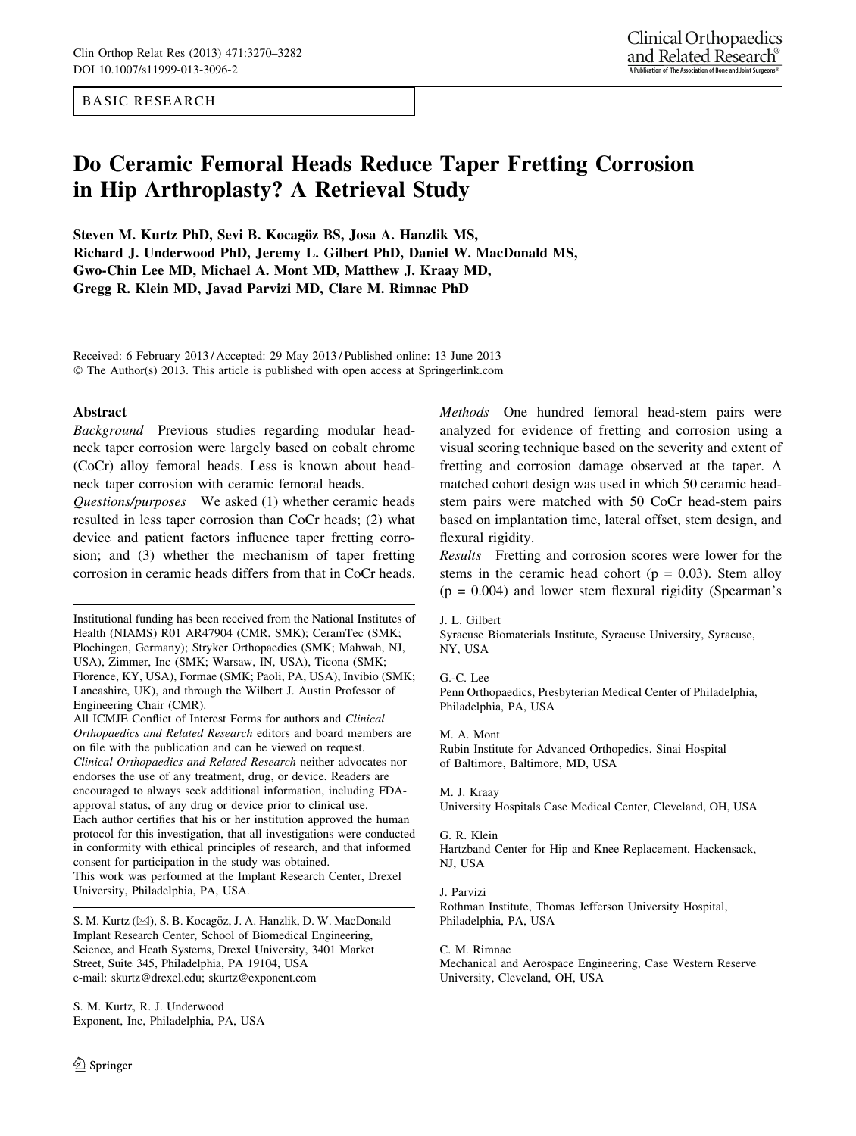BASIC RESEARCH

# Do Ceramic Femoral Heads Reduce Taper Fretting Corrosion in Hip Arthroplasty? A Retrieval Study

Steven M. Kurtz PhD, Sevi B. Kocagöz BS, Josa A. Hanzlik MS, Richard J. Underwood PhD, Jeremy L. Gilbert PhD, Daniel W. MacDonald MS, Gwo-Chin Lee MD, Michael A. Mont MD, Matthew J. Kraay MD, Gregg R. Klein MD, Javad Parvizi MD, Clare M. Rimnac PhD

Received: 6 February 2013 / Accepted: 29 May 2013 / Published online: 13 June 2013 © The Author(s) 2013. This article is published with open access at Springerlink.com

## Abstract

Background Previous studies regarding modular headneck taper corrosion were largely based on cobalt chrome (CoCr) alloy femoral heads. Less is known about headneck taper corrosion with ceramic femoral heads.

Questions/purposes We asked (1) whether ceramic heads resulted in less taper corrosion than CoCr heads; (2) what device and patient factors influence taper fretting corrosion; and (3) whether the mechanism of taper fretting corrosion in ceramic heads differs from that in CoCr heads.

Institutional funding has been received from the National Institutes of Health (NIAMS) R01 AR47904 (CMR, SMK); CeramTec (SMK; Plochingen, Germany); Stryker Orthopaedics (SMK; Mahwah, NJ, USA), Zimmer, Inc (SMK; Warsaw, IN, USA), Ticona (SMK; Florence, KY, USA), Formae (SMK; Paoli, PA, USA), Invibio (SMK; Lancashire, UK), and through the Wilbert J. Austin Professor of Engineering Chair (CMR).

All ICMJE Conflict of Interest Forms for authors and Clinical Orthopaedics and Related Research editors and board members are on file with the publication and can be viewed on request. Clinical Orthopaedics and Related Research neither advocates nor endorses the use of any treatment, drug, or device. Readers are encouraged to always seek additional information, including FDAapproval status, of any drug or device prior to clinical use. Each author certifies that his or her institution approved the human protocol for this investigation, that all investigations were conducted in conformity with ethical principles of research, and that informed consent for participation in the study was obtained. This work was performed at the Implant Research Center, Drexel University, Philadelphia, PA, USA.

S. M. Kurtz ( $\boxtimes$ ), S. B. Kocagöz, J. A. Hanzlik, D. W. MacDonald Implant Research Center, School of Biomedical Engineering, Science, and Heath Systems, Drexel University, 3401 Market Street, Suite 345, Philadelphia, PA 19104, USA e-mail: skurtz@drexel.edu; skurtz@exponent.com

S. M. Kurtz, R. J. Underwood Exponent, Inc, Philadelphia, PA, USA Methods One hundred femoral head-stem pairs were analyzed for evidence of fretting and corrosion using a visual scoring technique based on the severity and extent of fretting and corrosion damage observed at the taper. A matched cohort design was used in which 50 ceramic headstem pairs were matched with 50 CoCr head-stem pairs based on implantation time, lateral offset, stem design, and flexural rigidity.

Results Fretting and corrosion scores were lower for the stems in the ceramic head cohort ( $p = 0.03$ ). Stem alloy  $(p = 0.004)$  and lower stem flexural rigidity (Spearman's

J. L. Gilbert

Syracuse Biomaterials Institute, Syracuse University, Syracuse, NY, USA

#### G.-C. Lee

Penn Orthopaedics, Presbyterian Medical Center of Philadelphia, Philadelphia, PA, USA

M. A. Mont Rubin Institute for Advanced Orthopedics, Sinai Hospital of Baltimore, Baltimore, MD, USA

#### M. J. Kraay

University Hospitals Case Medical Center, Cleveland, OH, USA

#### G. R. Klein

Hartzband Center for Hip and Knee Replacement, Hackensack, NJ, USA

#### J. Parvizi

Rothman Institute, Thomas Jefferson University Hospital, Philadelphia, PA, USA

C. M. Rimnac

Mechanical and Aerospace Engineering, Case Western Reserve University, Cleveland, OH, USA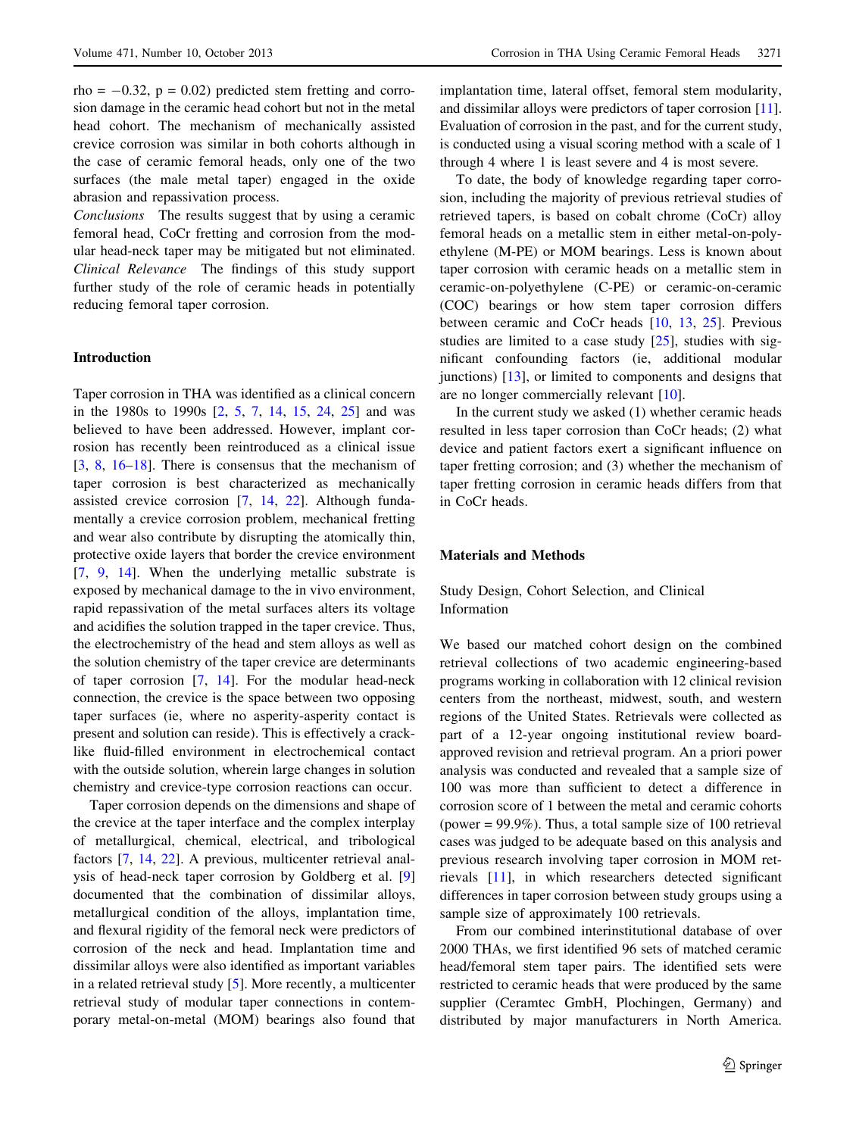$rho = -0.32$ ,  $p = 0.02$ ) predicted stem fretting and corrosion damage in the ceramic head cohort but not in the metal head cohort. The mechanism of mechanically assisted crevice corrosion was similar in both cohorts although in the case of ceramic femoral heads, only one of the two surfaces (the male metal taper) engaged in the oxide abrasion and repassivation process.

Conclusions The results suggest that by using a ceramic femoral head, CoCr fretting and corrosion from the modular head-neck taper may be mitigated but not eliminated. Clinical Relevance The findings of this study support further study of the role of ceramic heads in potentially reducing femoral taper corrosion.

# Introduction

Taper corrosion in THA was identified as a clinical concern in the 1980s to 1990s [\[2](#page-11-0), [5](#page-11-0), [7](#page-12-0), [14,](#page-12-0) [15,](#page-12-0) [24](#page-12-0), [25](#page-12-0)] and was believed to have been addressed. However, implant corrosion has recently been reintroduced as a clinical issue [\[3](#page-11-0), [8,](#page-12-0) [16–18\]](#page-12-0). There is consensus that the mechanism of taper corrosion is best characterized as mechanically assisted crevice corrosion [\[7](#page-12-0), [14](#page-12-0), [22\]](#page-12-0). Although fundamentally a crevice corrosion problem, mechanical fretting and wear also contribute by disrupting the atomically thin, protective oxide layers that border the crevice environment [\[7](#page-12-0), [9](#page-12-0), [14\]](#page-12-0). When the underlying metallic substrate is exposed by mechanical damage to the in vivo environment, rapid repassivation of the metal surfaces alters its voltage and acidifies the solution trapped in the taper crevice. Thus, the electrochemistry of the head and stem alloys as well as the solution chemistry of the taper crevice are determinants of taper corrosion [\[7](#page-12-0), [14](#page-12-0)]. For the modular head-neck connection, the crevice is the space between two opposing taper surfaces (ie, where no asperity-asperity contact is present and solution can reside). This is effectively a cracklike fluid-filled environment in electrochemical contact with the outside solution, wherein large changes in solution chemistry and crevice-type corrosion reactions can occur.

Taper corrosion depends on the dimensions and shape of the crevice at the taper interface and the complex interplay of metallurgical, chemical, electrical, and tribological factors [\[7](#page-12-0), [14](#page-12-0), [22](#page-12-0)]. A previous, multicenter retrieval analysis of head-neck taper corrosion by Goldberg et al. [[9\]](#page-12-0) documented that the combination of dissimilar alloys, metallurgical condition of the alloys, implantation time, and flexural rigidity of the femoral neck were predictors of corrosion of the neck and head. Implantation time and dissimilar alloys were also identified as important variables in a related retrieval study [[5\]](#page-11-0). More recently, a multicenter retrieval study of modular taper connections in contemporary metal-on-metal (MOM) bearings also found that implantation time, lateral offset, femoral stem modularity, and dissimilar alloys were predictors of taper corrosion [[11\]](#page-12-0). Evaluation of corrosion in the past, and for the current study, is conducted using a visual scoring method with a scale of 1 through 4 where 1 is least severe and 4 is most severe.

To date, the body of knowledge regarding taper corrosion, including the majority of previous retrieval studies of retrieved tapers, is based on cobalt chrome (CoCr) alloy femoral heads on a metallic stem in either metal-on-polyethylene (M-PE) or MOM bearings. Less is known about taper corrosion with ceramic heads on a metallic stem in ceramic-on-polyethylene (C-PE) or ceramic-on-ceramic (COC) bearings or how stem taper corrosion differs between ceramic and CoCr heads [\[10](#page-12-0), [13](#page-12-0), [25](#page-12-0)]. Previous studies are limited to a case study  $[25]$  $[25]$ , studies with significant confounding factors (ie, additional modular junctions) [[13\]](#page-12-0), or limited to components and designs that are no longer commercially relevant [\[10](#page-12-0)].

In the current study we asked (1) whether ceramic heads resulted in less taper corrosion than CoCr heads; (2) what device and patient factors exert a significant influence on taper fretting corrosion; and (3) whether the mechanism of taper fretting corrosion in ceramic heads differs from that in CoCr heads.

# Materials and Methods

# Study Design, Cohort Selection, and Clinical Information

We based our matched cohort design on the combined retrieval collections of two academic engineering-based programs working in collaboration with 12 clinical revision centers from the northeast, midwest, south, and western regions of the United States. Retrievals were collected as part of a 12-year ongoing institutional review boardapproved revision and retrieval program. An a priori power analysis was conducted and revealed that a sample size of 100 was more than sufficient to detect a difference in corrosion score of 1 between the metal and ceramic cohorts (power = 99.9%). Thus, a total sample size of 100 retrieval cases was judged to be adequate based on this analysis and previous research involving taper corrosion in MOM retrievals [[11\]](#page-12-0), in which researchers detected significant differences in taper corrosion between study groups using a sample size of approximately 100 retrievals.

From our combined interinstitutional database of over 2000 THAs, we first identified 96 sets of matched ceramic head/femoral stem taper pairs. The identified sets were restricted to ceramic heads that were produced by the same supplier (Ceramtec GmbH, Plochingen, Germany) and distributed by major manufacturers in North America.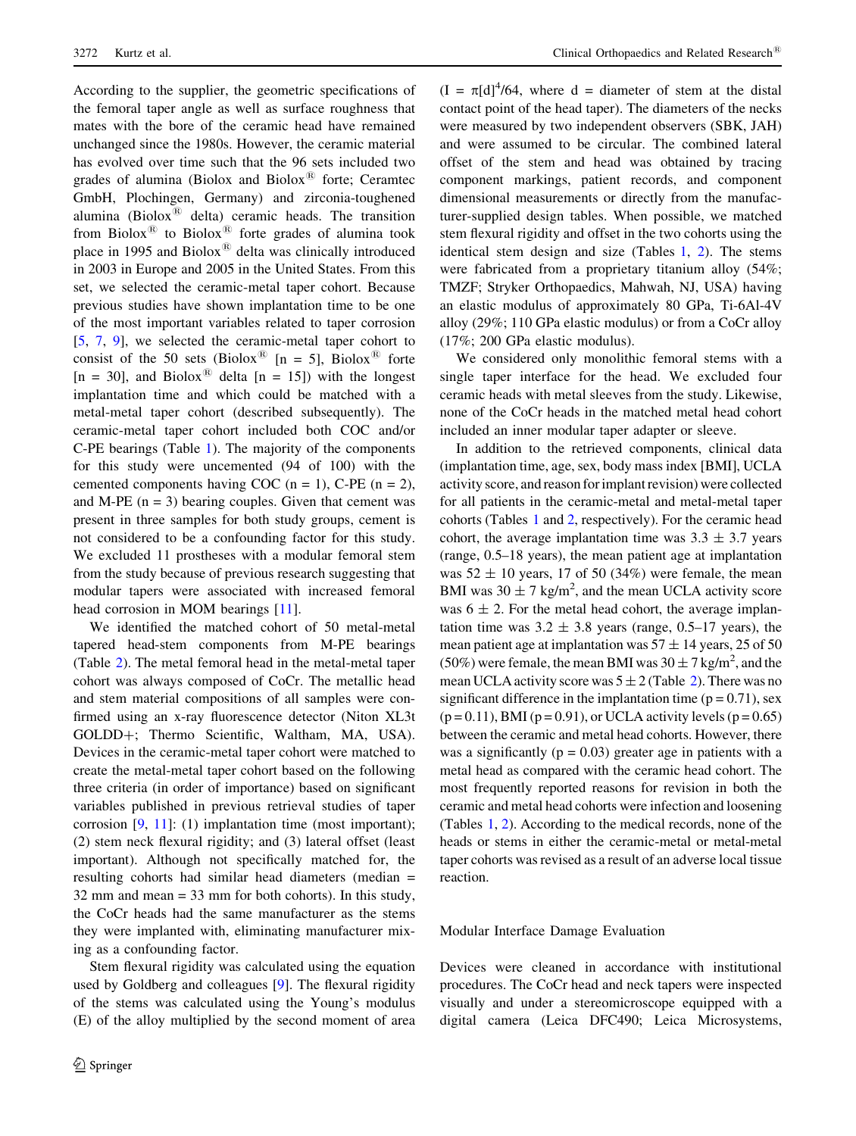According to the supplier, the geometric specifications of the femoral taper angle as well as surface roughness that mates with the bore of the ceramic head have remained unchanged since the 1980s. However, the ceramic material has evolved over time such that the 96 sets included two grades of alumina (Biolox and Biolox<sup>®</sup> forte; Ceramtec GmbH, Plochingen, Germany) and zirconia-toughened alumina (Biolox $^{(8)}$  delta) ceramic heads. The transition from Biolox<sup>®</sup> to Biolox<sup>®</sup> forte grades of alumina took place in 1995 and Biolox $^{\circledR}$  delta was clinically introduced in 2003 in Europe and 2005 in the United States. From this set, we selected the ceramic-metal taper cohort. Because previous studies have shown implantation time to be one of the most important variables related to taper corrosion [\[5](#page-11-0), [7](#page-12-0), [9\]](#page-12-0), we selected the ceramic-metal taper cohort to consist of the 50 sets (Biolox<sup>®</sup> [n = 5], Biolox<sup>®</sup> forte [n = 30], and Biolox<sup>®</sup> delta [n = 15]) with the longest implantation time and which could be matched with a metal-metal taper cohort (described subsequently). The ceramic-metal taper cohort included both COC and/or C-PE bearings (Table [1\)](#page-3-0). The majority of the components for this study were uncemented (94 of 100) with the cemented components having COC  $(n = 1)$ , C-PE  $(n = 2)$ , and M-PE  $(n = 3)$  bearing couples. Given that cement was present in three samples for both study groups, cement is not considered to be a confounding factor for this study. We excluded 11 prostheses with a modular femoral stem from the study because of previous research suggesting that modular tapers were associated with increased femoral head corrosion in MOM bearings [\[11](#page-12-0)].

We identified the matched cohort of 50 metal-metal tapered head-stem components from M-PE bearings (Table [2\)](#page-5-0). The metal femoral head in the metal-metal taper cohort was always composed of CoCr. The metallic head and stem material compositions of all samples were confirmed using an x-ray fluorescence detector (Niton XL3t GOLDD+; Thermo Scientific, Waltham, MA, USA). Devices in the ceramic-metal taper cohort were matched to create the metal-metal taper cohort based on the following three criteria (in order of importance) based on significant variables published in previous retrieval studies of taper corrosion  $[9, 11]$  $[9, 11]$  $[9, 11]$  $[9, 11]$ : (1) implantation time (most important); (2) stem neck flexural rigidity; and (3) lateral offset (least important). Although not specifically matched for, the resulting cohorts had similar head diameters (median = 32 mm and mean = 33 mm for both cohorts). In this study, the CoCr heads had the same manufacturer as the stems they were implanted with, eliminating manufacturer mixing as a confounding factor.

Stem flexural rigidity was calculated using the equation used by Goldberg and colleagues [\[9](#page-12-0)]. The flexural rigidity of the stems was calculated using the Young's modulus (E) of the alloy multiplied by the second moment of area

 $(I = \pi[d]^4/64$ , where d = diameter of stem at the distal contact point of the head taper). The diameters of the necks were measured by two independent observers (SBK, JAH) and were assumed to be circular. The combined lateral offset of the stem and head was obtained by tracing component markings, patient records, and component dimensional measurements or directly from the manufacturer-supplied design tables. When possible, we matched stem flexural rigidity and offset in the two cohorts using the identical stem design and size (Tables [1](#page-3-0), [2](#page-5-0)). The stems were fabricated from a proprietary titanium alloy (54%; TMZF; Stryker Orthopaedics, Mahwah, NJ, USA) having an elastic modulus of approximately 80 GPa, Ti-6Al-4V alloy (29%; 110 GPa elastic modulus) or from a CoCr alloy (17%; 200 GPa elastic modulus).

We considered only monolithic femoral stems with a single taper interface for the head. We excluded four ceramic heads with metal sleeves from the study. Likewise, none of the CoCr heads in the matched metal head cohort included an inner modular taper adapter or sleeve.

In addition to the retrieved components, clinical data (implantation time, age, sex, body mass index [BMI], UCLA activity score, and reason for implant revision) were collected for all patients in the ceramic-metal and metal-metal taper cohorts (Tables [1](#page-3-0) and [2,](#page-5-0) respectively). For the ceramic head cohort, the average implantation time was  $3.3 \pm 3.7$  years (range, 0.5–18 years), the mean patient age at implantation was  $52 \pm 10$  years, 17 of 50 (34%) were female, the mean BMI was  $30 \pm 7$  kg/m<sup>2</sup>, and the mean UCLA activity score was  $6 \pm 2$ . For the metal head cohort, the average implantation time was  $3.2 \pm 3.8$  years (range, 0.5–17 years), the mean patient age at implantation was  $57 \pm 14$  years, 25 of 50 (50%) were female, the mean BMI was  $30 \pm 7$  kg/m<sup>2</sup>, and the mean UCLA activity score was  $5 \pm 2$  $5 \pm 2$  (Table 2). There was no significant difference in the implantation time  $(p = 0.71)$ , sex  $(p=0.11)$ , BMI  $(p=0.91)$ , or UCLA activity levels  $(p=0.65)$ between the ceramic and metal head cohorts. However, there was a significantly ( $p = 0.03$ ) greater age in patients with a metal head as compared with the ceramic head cohort. The most frequently reported reasons for revision in both the ceramic and metal head cohorts were infection and loosening (Tables [1](#page-3-0), [2](#page-5-0)). According to the medical records, none of the heads or stems in either the ceramic-metal or metal-metal taper cohorts was revised as a result of an adverse local tissue reaction.

# Modular Interface Damage Evaluation

Devices were cleaned in accordance with institutional procedures. The CoCr head and neck tapers were inspected visually and under a stereomicroscope equipped with a digital camera (Leica DFC490; Leica Microsystems,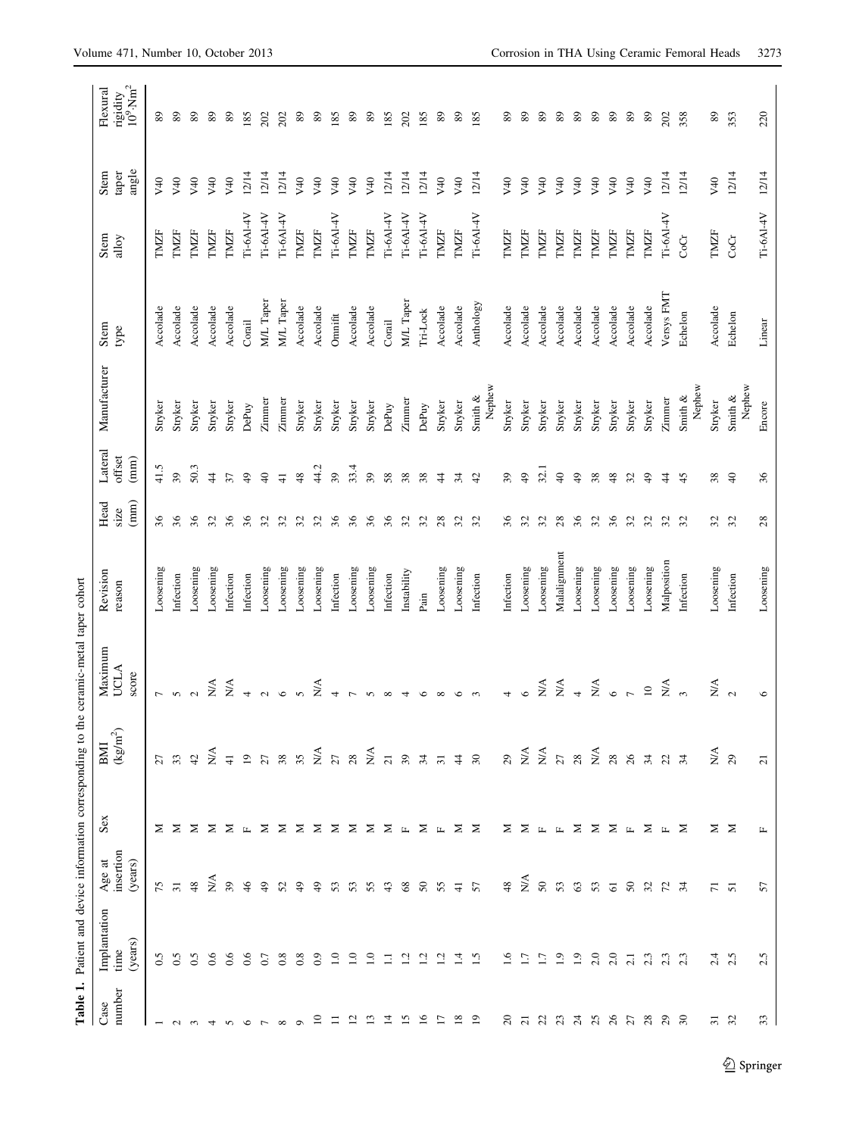<span id="page-3-0"></span>

|                             | Table 1. Patient and device information corresponding to the |                      |                         |                   | ceramic-metal taper cohort |                  |                |                |                      |            |             |                   |                                         |
|-----------------------------|--------------------------------------------------------------|----------------------|-------------------------|-------------------|----------------------------|------------------|----------------|----------------|----------------------|------------|-------------|-------------------|-----------------------------------------|
| Case                        | Implantation                                                 | Age at               | Sex                     | IMB               | Maximum                    | Revision         | Head           | Lateral        | Manufacturer         | Stem       | Stem        | Stem              | Flexural                                |
| number                      | (years)<br>time                                              | insertion<br>(years) |                         | $\rm (kg/m^2)$    | UCLA<br>score              | reason           | (mm)<br>size   | offset<br>(mm) |                      | type       | alloy       | angle<br>taper    | rigidity<br>$10^9$ .<br>Nm <sup>2</sup> |
|                             | 6.5                                                          | 75                   | Σ                       | 27                | $\overline{\phantom{a}}$   | Loosening        | 36             | 41.5           | Stryker              | Accolade   | TMZF        | V40               | 89                                      |
| $\sim$                      | 0.5                                                          | $\overline{31}$      | ≅                       | 33                | $\mathbf{r}$               | Infection        | 36             | 39             | Stryker              | Accolade   | TMZF        | V40               | 89                                      |
|                             | 0.5                                                          | 48                   | Σ                       | 42                | $\sim$                     | Loosening        | 36             | 50.3           | Stryker              | Accolade   | TMZF        | V40               | 89                                      |
|                             | 0.6                                                          | $\sum_{i=1}^{n}$     | Σ                       | $\sum_{i=1}^{n}$  | N/A                        | Loosening        | $32\,$         | $\overline{4}$ | Stryker              | Accolade   | TMZF        | V40               | $\bf 89$                                |
|                             | 0.6                                                          | 39                   | Σ                       | $\frac{1}{4}$     | $N\mathbf{A}$              | Infection        | 36             | 37             | Stryker              | Accolade   | TMZF        | V40               | $\bf 89$                                |
| ৩                           | 0.6                                                          | 46                   | $\mathbf{L}$            | $\Xi$             | $\overline{a}$             | Infection        | 36             | $\frac{1}{2}$  | DePuy                | Corail     | Ti-6Al-4V   | 12/14             | 185                                     |
|                             | 0.7                                                          | $\frac{9}{4}$        | Σ                       | $\overline{27}$   | $\sim$                     | Loosening        | 32             | $\overline{4}$ | Zimmer               | ML Taper   | $Ti-6A1-4V$ | 12/14             | 202                                     |
|                             | 0.8                                                          | 52                   | Σ                       | 38                | $\circ$                    | Loosening        | 32             | $\overline{4}$ | Zimmer               | ML Taper   | Ti-6Al-4V   | 12/14             | 202                                     |
|                             | 0.8                                                          | $\frac{4}{9}$        | ≅                       | 35                | $\mathbf{v}$               | Loosening        | 32             | 48             | Stryker              | Accolade   | TMZF        | V40               | $\rm 89$                                |
| ≘                           | $_{0.9}$                                                     | $\frac{4}{9}$        | Σ                       | $\tilde{N}$       | $\mathbf{N} \mathbf{A}$    | Loosening        | 32             | 44.2           | Stryker              | Accolade   | TMZF        | V40               | 89                                      |
|                             | $\overline{1.0}$                                             | 53                   | Σ                       | $\overline{27}$   | 4                          | Infection        | 36             | 39             | Stryker              | Omnifit    | Ti-6Al-4V   | V40               | 185                                     |
| $\mathcal{L}_{\mathcal{A}}$ | $\ddot{=}$                                                   | 53                   | Σ                       | 28                |                            | Loosening        | 36             | 33.4           | Stryker              | Accolade   | TMZF        | V40               | $\,89$                                  |
| ن                           | $\overline{1.0}$                                             | 55                   | Σ                       | $\tilde{N}$       | $\sigma$                   | Loosening        | 36             | 39             | Stryker              | Accolade   | TMZF        | V40               | $\,89$                                  |
| 그                           | $\Xi$                                                        | 43                   | ⋝                       | $\overline{21}$   | ${}^{\circ}$               | Infection        | 36             | 58             | DePuy                | Corail     | Ti-6Al-4V   | 12/14             | 185                                     |
| $\overline{2}$              | 1.2                                                          | $68\,$               | $\mathbf{L}$            | 39                |                            | Instability      | 32             | 38             | Zimmer               | ML Taper   | Ti-6Al-4V   | 12/14             | 202                                     |
| $\tilde{=}$                 | $\overline{12}$                                              | $50\,$               | ⋝                       | $\mathcal{L}$     | ص                          | Pain             | 32             | 38             | DePuy                | Tri-Lock   | $Ti-6A1-4V$ | 12/14             | 185                                     |
| $\overline{a}$              | 1.2                                                          | 55                   | $\mathbf{L}$            | $\overline{31}$   | $\infty$                   | <b>Coosening</b> | 28             | $\frac{4}{3}$  | Stryker              | Accolade   | TMZF        | $_{\mathrm{V40}}$ | $89$                                    |
| $\frac{8}{18}$              | $\overline{14}$                                              | $\overline{+}$       | Σ                       | $\frac{4}{4}$ 8   | $\circ$                    | Loosening        | 32             | $\mathcal{L}$  | Stryker              | Accolade   | TMZF        | V40               | $\,89$                                  |
| $\overline{5}$              | 1.5                                                          | 57                   | Σ                       |                   | $\epsilon$                 | Infection        | 32             | 42             | Nephew<br>Smith $\&$ | Anthology  | $Ti-6A1-4V$ | 12/14             | 185                                     |
| $\Omega$                    | $\ddot{0}$                                                   | $48$                 | z                       | 29                |                            | Infection        | 36             | 39             | Stryker              | Accolade   | TMZF        | V40               | 89                                      |
| $\overline{a}$              | 1.7                                                          | $\sum_{i=1}^{n}$     | ⊠                       |                   | $\circ$                    | Loosening        | 32             | $\ddot{ }$     | Stryker              | Accolade   | TMZF        | V40               | 89                                      |
| $\mathfrak{L}$              | $\overline{17}$                                              | 50                   | $\mathbb{L}$            | $\sum_{i=1}^{n}$  | N/A                        | Loosening        | 32             | 32.1           | Stryker              | Accolade   | TMZF        | V40               | $\rm 89$                                |
| $\mathfrak{L}$              | $\ddot{ }$                                                   | 53                   | $\mathbf{L}$            | $\overline{27}$   | $N\mathcal{A}$             | Malalignment     | $28$           | $\Theta$       | Stryker              | Accolade   | TMZF        | V40               | $\,89$                                  |
| $\mathcal{L}$               | $\ddot{.}$                                                   | 63                   | Σ                       | $28\,$            | $\overline{a}$             | Loosening        | 36             | $\overline{6}$ | Stryker              | Accolade   | TMZF        | V40               | $\rm 89$                                |
|                             | 2.0                                                          | 53                   | Σ                       | $\sum_{i=1}^{n}$  | $N^{\mathcal{A}}$          | Loosening        | 32             | 38             | Stryker              | Accolade   | TMZF        | V40               | $\rm 89$                                |
| <b>3857</b>                 | 2.0                                                          | $\overline{6}$       | Σ                       | $28$              | $\circ$                    | Loosening        | 36             | 48             | Stryker              | Accolade   | TMZF        | V40               | $\rm 89$                                |
|                             | 2.1                                                          | $50\,$               | $\mathbb{L}$            | 26                |                            | Loosening        | 32             | 32             | Stryker              | Accolade   | TMZF        | V40               | $\,89$                                  |
| $^{28}$                     | 2.3                                                          | 32                   | ≅                       | $\mathcal{L}$     | $\overline{10}$            | Loosening        | 32             | $\frac{9}{4}$  | Stryker              | Accolade   | TMZF        | V40               | $\,89$                                  |
| $^{29}$                     | 2.3                                                          | $\mathcal{L}$        | $\mathbf{L}_\mathbf{I}$ | $23 \overline{3}$ | $N\mathcal{A}$             | Malposition      | 32             | $\overline{4}$ | Zimmer               | Versys FMT | Ti-6Al-4V   | 12/14             | 202                                     |
| ్లె                         | 2.3                                                          | $\mathcal{L}$        | ⊠                       |                   |                            | Infection        | $\mathfrak{L}$ | 45             | Nephew<br>Smith $\&$ | Echelon    | $\rm CoCr$  | 12/14             | 358                                     |
| $\overline{5}$              | 2.4                                                          | $\overline{7}$       | z                       | $\sum_{i=1}^{n}$  | $N\mathcal{A}$             | Loosening        | 32             | $38\,$         | Stryker              | Accolade   | TMZF        | V40               | $89$                                    |
| $\mathfrak{L}$              | ς.<br>$\sim$                                                 | 5                    | Σ                       | 29                | $\sim$                     | Infection        | 32             | $\overline{4}$ | Nephew<br>Smith $\&$ | Echelon    | CoCr        | 12/14             | 353                                     |
| 33                          | 2.5                                                          | 57                   | $\mathbf{L}$            | $\overline{21}$   | $\circ$                    | Loosening        | 28             | 36             | Encore               | Linear     | $Ti-6A1-4V$ | 12/14             | 220                                     |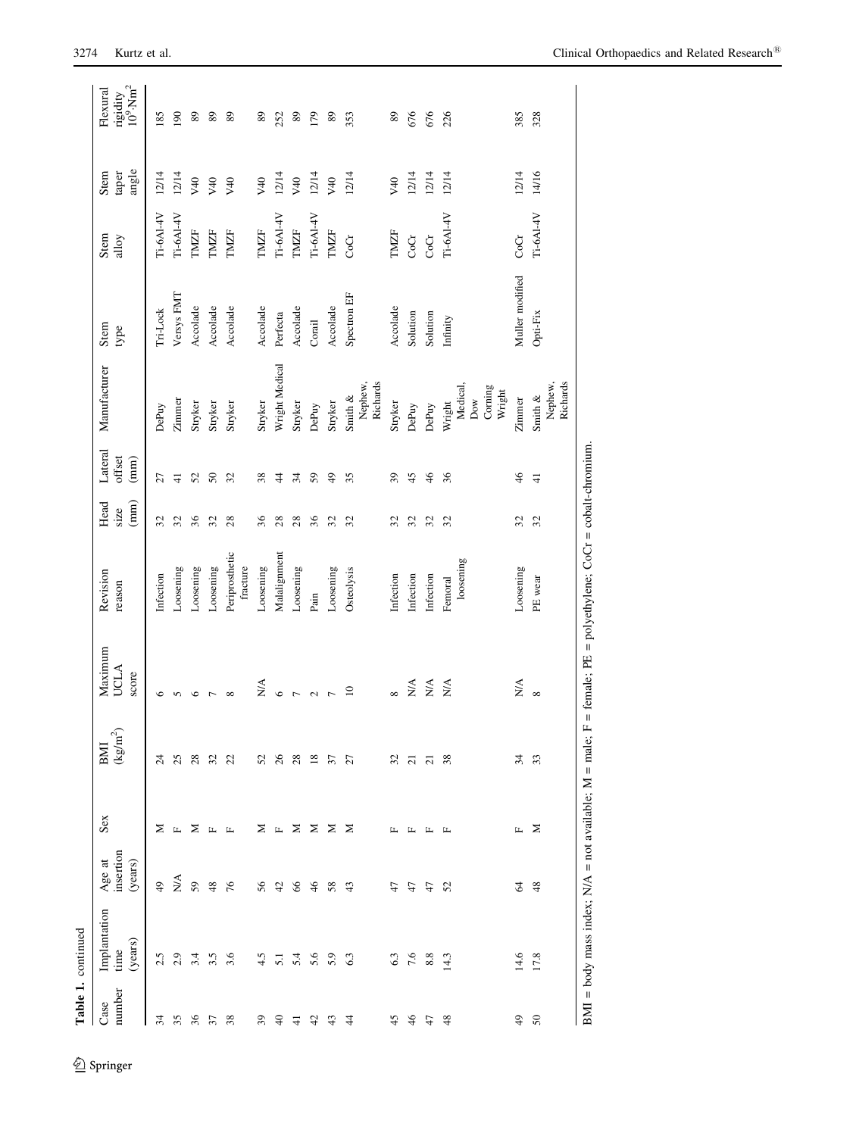|                | Table 1. continued                                          |                                |                |                       |                               |                                                            |                      |                                                                               |                                                                |                 |               |                        |                                                 |
|----------------|-------------------------------------------------------------|--------------------------------|----------------|-----------------------|-------------------------------|------------------------------------------------------------|----------------------|-------------------------------------------------------------------------------|----------------------------------------------------------------|-----------------|---------------|------------------------|-------------------------------------------------|
| number<br>Case | Implantation<br>(years)<br>time                             | insertion<br>Age at<br>(years) | Sex            | $\rm (kg/m^2)$<br>BMI | Maximum<br>UCLA<br>score      | Revision<br>reason                                         | Head<br>(mm)<br>size | Lateral<br>offset<br>$\begin{array}{c} \text{(mm)}\\ \text{(mm)} \end{array}$ | Manufacturer                                                   | Stem<br>type    | Stem<br>alloy | angle<br>Stem<br>taper | rigidity<br>$10^9$ ·Nm <sup>2</sup><br>Flexural |
| 34             | 2.5                                                         | $\overline{49}$                | ≅              | 24                    | $\circ$                       | Infection                                                  | 32                   | 27                                                                            | DePuy                                                          | Tri-Lock        | $Ti-6A1-4V$   | 12/14                  | 185                                             |
| 35             | 2.9                                                         | $\frac{1}{2}$                  | $\mathbf{L}$   | S                     | $\Omega$                      | Loosening                                                  | 32                   | $\Xi$                                                                         | Zimmer                                                         | Versys FMT      | Ti-6Al-4V     | 12/14                  | 190                                             |
| 36             | 3.4                                                         | 59                             | ≅              | 28                    | $\circ$                       | Loosening                                                  | 36                   | 52                                                                            | Stryker                                                        | Accolade        | TMZF          | V40                    | 89                                              |
| 57             | 3.5                                                         | 48                             | 匹              | 32                    | $\overline{ }$                | Loosening                                                  | 32                   | $50\,$                                                                        | Stryker                                                        | Accolade        | TMZF          | V40                    | 89                                              |
| 38             | 3.6                                                         | 76                             |                | $\mathfrak{L}$        | $\infty$                      | Periprosthetic<br>fracture                                 | 28                   | 32                                                                            | Stryker                                                        | Accolade        | TMZF          | V40                    | 89                                              |
| 39             | 4.5                                                         | 56                             | ≅              | 52                    | $\sum_{i=1}^{n}$              | Loosening                                                  | 36                   | 38                                                                            | Stryker                                                        | Accolade        | TMZF          | V40                    | 89                                              |
| $\Theta$       | $\overline{5}$                                              | 42                             | $ \mathbf{I} $ | 26                    | $\circ$                       | Malalignment                                               | $28$                 | $\ddot{4}$                                                                    | Wright Medical                                                 | Perfecta        | Ti-6Al-4V     | 12/14                  | 252                                             |
| 극              | 5.4                                                         | 66                             | ≅              | 28                    | $\overline{ }$                | Loosening                                                  | 28                   | 34                                                                            | Stryker                                                        | Accolade        | TMZF          | V40                    | $\,89$                                          |
| 42             | 5.6                                                         | 46                             | Σ              | $\overline{18}$       | $\sim$                        | Pain                                                       | 36                   | 59                                                                            | DePuy                                                          | Corail          | Ti-6Al-4V     | 12/14                  | 179                                             |
| 43             | 5.9                                                         | 58                             | ≅              | 57                    | $\overline{a}$                | Loosening                                                  | 32                   | $\overline{4}$                                                                | Stryker                                                        | Accolade        | TMZF          | V40                    | $\,89$                                          |
| $\ddot{4}$     | 6.3                                                         | $\frac{4}{3}$                  | ≅              | $\overline{z}$        | $\overline{10}$               | Osteolysis                                                 | 32                   | 35                                                                            | Richards<br>Nephew,<br>Smith $\&$                              | Spectron EF     | CoCr          | 12/14                  | 353                                             |
| 45             | 6.3                                                         | $\ddot{t}$                     |                | $\mathfrak{L}$        | $\infty$                      | Infection                                                  | 32                   | 39                                                                            | Stryker                                                        | Accolade        | TMZF          | V40                    | $89$                                            |
| $\frac{4}{6}$  | 7.6                                                         | 47                             |                | $\overline{c}$        | $\stackrel{\triangle}{\rm N}$ | Infection                                                  | 32                   | 45                                                                            | DePuy                                                          | Solution        | $\rm CoCr$    | 12/14                  | 676                                             |
| 47             | 8.8                                                         | 47                             |                | $\overline{c}$        | $\mathbf{N} \mathbf{A}$       | Infection                                                  | 32                   | $\frac{4}{6}$                                                                 | DePuy                                                          | Solution        | CoCr          | 12/14                  | 676                                             |
| 48             | 14.3                                                        | 52                             |                | 38                    | $\stackrel{\triangle}{\geq}$  | loosening<br>Femoral                                       | 32                   | 36                                                                            | <b>Medical</b><br>Corning<br>Wright<br>$_{\rm{Dow}}$<br>Wright | Infinity        | Ti-6Al-4V     | 12/14                  | 226                                             |
| $\overline{4}$ | 14.6                                                        | $\mathcal{L}$                  | $\mathbf{L}$   | 34                    | $\stackrel{\triangle}{\geq}$  | Loosening                                                  | 32                   | 46                                                                            | Zimmer                                                         | Muller modified | CoCr          | 12/14                  | 385                                             |
| $50\,$         | 17.8                                                        | 48                             | ≅              | 33                    | $\infty$                      | PE wear                                                    | 32                   | $\frac{4}{3}$                                                                 | Richards<br>Nephew,<br>Smith $\&$                              | Opti-Fix        | $Ti-6AI-4V$   | 14/16                  | 328                                             |
|                | BMI = body mass index; $N/A$ = not available; $M$ = male; F |                                |                |                       |                               | $=$ female; PE $=$ polyethylene; CoCr $=$ cobalt-chromium. |                      |                                                                               |                                                                |                 |               |                        |                                                 |

 $\underline{\textcircled{\tiny 2}}$  Springer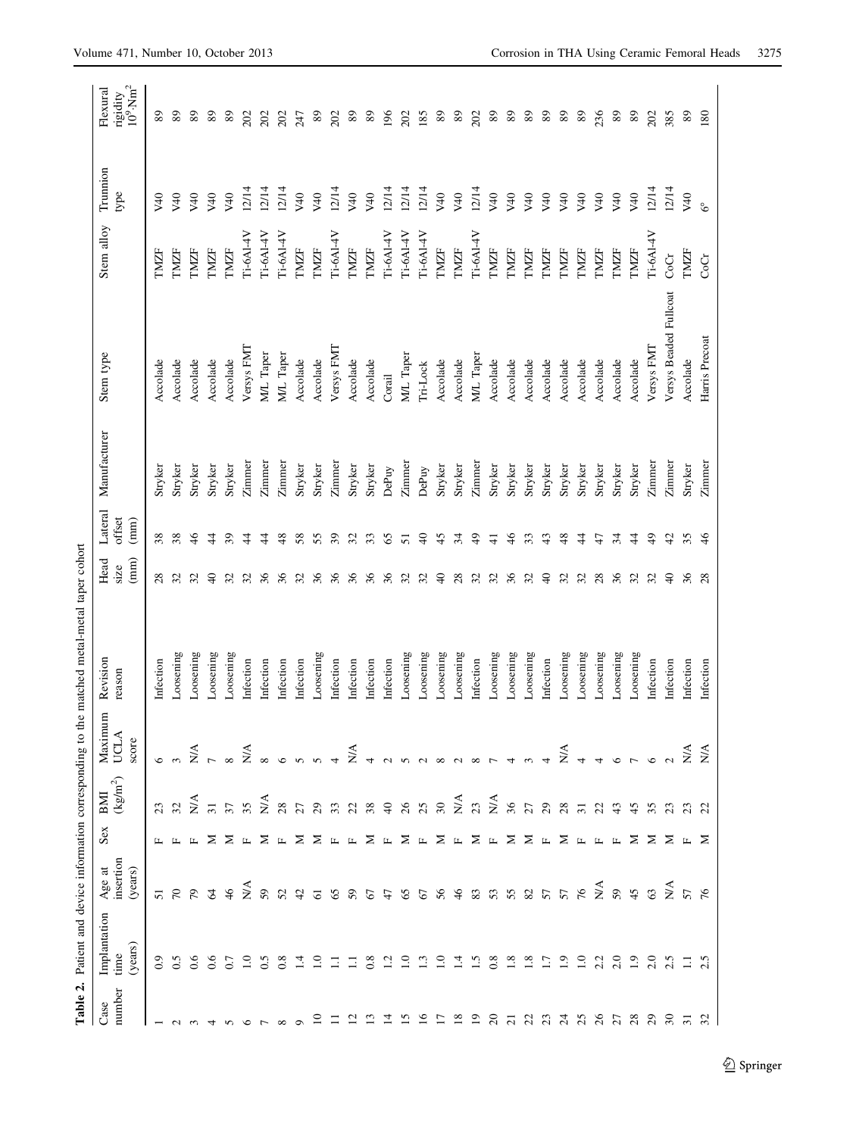<span id="page-5-0"></span>

| Trunnion<br>12/14<br>12/14<br>12/14<br>12/14<br>12/14<br>12/14<br>12/14<br>12/14<br>12/14<br>12/14<br>type<br>V40<br>V40<br>V40<br>V40<br>V40<br>V40<br>V40<br>V40<br>940<br>V40<br>V40<br>V40<br>V40<br>V40<br>V40<br>V40<br>V40<br>V40<br>V40<br>V40<br>V40<br>$\delta^{\circ}$<br>Stem alloy<br>Ti-6Al-4V<br>Ti-6Al-4V<br>Ti-6Al-4V<br>Ti-6A1-4V<br>$Ti-6A1-4V$<br>Ti-6Al-4V<br>Ti-6Al-4V<br>$Ti-6A1-4V$<br>$Ti-6AI-4V$<br>TMZF<br>TMZF<br>TMZF<br>TMZF<br>TMZF<br>TMZF<br>TMZF<br>TMZF<br>TMZF<br><b>IMZF</b><br><b>IMZF</b><br><b>IMZF</b><br><b>IMZF</b><br><b>IMZF</b><br>TMZF<br>TMZF<br><b>IMZF</b><br><b>IMZF</b><br><b>IMZF</b><br>TMZF<br>TMZF<br>CoCr<br>CoCr<br>Versys Beaded Fullcoat<br>Harris Precoat<br>Versys FMT<br>Versys FMT<br>Versys FMT<br>M/L Taper<br>M/L Taper<br>M/L Taper<br>Stem type<br>M/L Taper<br>Accolade<br>Accolade<br>Accolade<br>Accolade<br>Accolade<br>Accolade<br>Accolade<br>Accolade<br>Accolade<br>Accolade<br>Accolade<br>Accolade<br>Accolade<br>Accolade<br>Accolade<br>Accolade<br>Accolade<br>Accolade<br>Accolade<br>Accolade<br>Accolade<br>Tri-Lock<br>Corail<br>Manufacturer<br>Zimmer<br>Zimmer<br>Zimmer<br>Zimmer<br>Zimmer<br>Zimmer<br>Zimmer<br>Zimmer<br>Zimmer<br>Stryker<br>Stryker<br>Stryker<br>Stryker<br>Stryker<br>Stryker<br>Stryker<br>Stryker<br>Stryker<br>Stryker<br>Stryker<br>Stryker<br>Stryker<br>Stryker<br>Stryker<br>Stryker<br>Stryker<br>Stryker<br>Stryker<br>Stryker<br>Stryker<br>DePuy<br>DePuy<br>Lateral<br>offset<br>(mm)<br>38<br>38<br>$\frac{4}{6}$<br>$\ddot{4}$<br>39<br>$\ddot{4}$<br>4<br>$\frac{8}{3}$<br>58<br>55<br>$\mathfrak{B}$<br>$\mathfrak{L}$<br>33<br>65<br>$\Theta$<br>45<br>$\frac{34}{3}$<br>$\ddot{ }$<br>$\frac{4}{6}$<br>33<br>43<br>$\frac{8}{3}$<br>$\ddot{4}$<br>$\frac{34}{3}$<br>$\ddot{4}$<br>$\frac{9}{4}$<br>$\ddot{c}$<br>35<br>$\frac{4}{5}$<br>51<br>47<br>$\overline{+}$<br>(mm)<br>Head<br>size<br>32<br>32<br>$\Theta$<br>36<br>36<br>32<br>36<br>36<br>36<br>36<br>36<br>$\Theta$<br>$\mathfrak{L}$<br>36<br>$\mathfrak{L}$<br>$\Theta$<br>$28$<br>36<br>$\Theta$<br>36<br>28<br>28<br>32<br>$\mathfrak{L}$<br>$\mathfrak{L}$<br>$\mathfrak{L}$<br>28<br>$\mathfrak{L}$<br>$\mathfrak{L}$<br>$\mathfrak{L}$<br>$\mathfrak{L}$<br>$\mathfrak{L}$<br>Loosening<br>Loosening<br>Loosening<br>Loosening<br>Loosening<br>Loosening<br>Loosening<br>Loosening<br>Loosening<br>Loosening<br>Loosening<br>Loosening<br>Loosening<br>Loosening<br>Loosening<br>Loosening<br>Loosening<br>Revision<br>Infection<br>Infection<br>Infection<br>Infection<br>Infection<br>Infection<br>Infection<br>Infection<br>Infection<br>Infection<br>Infection<br>nfection<br>Infection<br>nfection<br>Infection<br>reason<br>Maximum<br>UCLA<br>score<br>N/A<br>$\sum_{i=1}^{n}$<br>$\frac{1}{2}$<br>$\frac{1}{\sqrt{2}}$<br>₹<br>$\sum_{i=1}^{n}$<br>$\infty$<br>$\circ$<br>$\sim$<br>$\sigma$ $\sigma$<br>$\infty$<br>$\sim$<br>$\sim$ $\infty$<br>$\sim$ $\infty$<br>$\circ$<br>$\sim$<br>$\sim$<br>$\circ$<br>ෑ<br>$\left({\rm kg/m}^2\right)$<br>BMI<br>$\sum_{i=1}^{n}$<br>$\sum_{i=1}^{n}$<br>$\sum_{i=1}^{n}$<br>$\sum_{i=1}^{n}$<br>35<br>23<br>36<br>28<br>$30\,$<br>37<br>26<br>$\overline{31}$<br>29<br>38<br>27<br>33<br>22<br>$\frac{1}{2}$<br>29<br>23<br>32<br>$\overline{27}$<br>28<br>45<br>35<br>22<br>43<br>23<br>23<br>22<br>$\overline{31}$<br>Sex<br>⋝<br>⋝<br>Σ<br>⊠<br>⊠<br>≅<br>Σ<br>Σ<br>Σ<br>Σ<br>Σ<br>Σ<br>⋝<br>Σ<br>≅<br>Σ<br>$\mathbf{L}$<br>$\mathbb{L}$<br>$\mathbf{L}$<br>$\mathbf{L}$<br>$\mathbf{L}$<br>$\mathbf{L}$<br>$\mathbb{L}$<br>$\mathbf{L}$<br>L.<br>$\mathbb{L}$<br>工<br>$\mathbf{L}$<br>L.<br>$\mathbf{L}$<br>insertion<br>(years)<br>Age at<br>$\sum_{i=1}^{n}$<br>$\sum_{i=1}^{n}$<br>$\sum_{i=1}^{n}$<br>46<br>59<br>59<br>45<br>63<br>76<br>76<br>$\mathcal{L}$<br>$\mathcal{L}$<br>52<br>42<br>53<br>55<br>$82\,$<br>57<br>$\mathcal{L}$<br>65<br>59<br>65<br>56<br>46<br>83<br>57<br>$\overline{6}$<br>67<br>47<br>67<br>$\overline{5}$<br>Implantation<br>(years)<br>time<br>0.5<br>0.6<br>0.6<br>$\overline{1.0}$<br>$\overline{0.5}$<br>0.8<br>0.8<br>$1.8\,$<br>1.8<br>1.9<br>$\overline{1.0}$<br>2.2<br>2.0<br>1.9<br>2.0<br>2.5<br>ς.<br>0.9<br>0.7<br>$\vec{a}$<br>$\frac{0}{1}$<br>0.8<br>1.2<br>$\overline{1.0}$<br>1.3<br>$\overline{1.0}$<br>$\ddot{ }$<br>1.5<br>1.7<br>$\Box$<br>$\sim$<br>number<br>Case<br>26<br>$\mathfrak{S}$<br>32<br>$\Xi$<br>∘<br>$\Omega$<br>$\mathfrak{L}$<br>23<br>$\overline{z}$<br>25<br>27<br>28<br>$^{29}$<br>$\overline{31}$<br>⋣<br>$\overline{\Omega}$<br>$\infty$<br>$\sim$<br>ᆉ<br>$\sim$<br>৩ | Table 2. Patient and device information corresponding to the matched metal-metal taper cohort |  |  |  |  |  |                                             |
|----------------------------------------------------------------------------------------------------------------------------------------------------------------------------------------------------------------------------------------------------------------------------------------------------------------------------------------------------------------------------------------------------------------------------------------------------------------------------------------------------------------------------------------------------------------------------------------------------------------------------------------------------------------------------------------------------------------------------------------------------------------------------------------------------------------------------------------------------------------------------------------------------------------------------------------------------------------------------------------------------------------------------------------------------------------------------------------------------------------------------------------------------------------------------------------------------------------------------------------------------------------------------------------------------------------------------------------------------------------------------------------------------------------------------------------------------------------------------------------------------------------------------------------------------------------------------------------------------------------------------------------------------------------------------------------------------------------------------------------------------------------------------------------------------------------------------------------------------------------------------------------------------------------------------------------------------------------------------------------------------------------------------------------------------------------------------------------------------------------------------------------------------------------------------------------------------------------------------------------------------------------------------------------------------------------------------------------------------------------------------------------------------------------------------------------------------------------------------------------------------------------------------------------------------------------------------------------------------------------------------------------------------------------------------------------------------------------------------------------------------------------------------------------------------------------------------------------------------------------------------------------------------------------------------------------------------------------------------------------------------------------------------------------------------------------------------------------------------------------------------------------------------------------------------------------------------------------------------------------------------------------------------------------------------------------------------------------------------------------------------------------------------------------------------------------------------------------------------------------------------------------------------------------------------------------------------------------------------------------------------------------------------------------------------------------------------------------------------------------------------------------------------------------------------------------------------------------------------------------------------------------------------------------------------------------------------------------------------------------------------------------------------------------------------------------------------------------------------------------------------------------------------------------------------------------------------------------------------------------------------------------------------------------------------------------------------------------------------------------------------------------------------------------------------------------------------------------------------------------------------------------------------------------------------------------------------------------------------------------|-----------------------------------------------------------------------------------------------|--|--|--|--|--|---------------------------------------------|
|                                                                                                                                                                                                                                                                                                                                                                                                                                                                                                                                                                                                                                                                                                                                                                                                                                                                                                                                                                                                                                                                                                                                                                                                                                                                                                                                                                                                                                                                                                                                                                                                                                                                                                                                                                                                                                                                                                                                                                                                                                                                                                                                                                                                                                                                                                                                                                                                                                                                                                                                                                                                                                                                                                                                                                                                                                                                                                                                                                                                                                                                                                                                                                                                                                                                                                                                                                                                                                                                                                                                                                                                                                                                                                                                                                                                                                                                                                                                                                                                                                                                                                                                                                                                                                                                                                                                                                                                                                                                                                                                                                                                                |                                                                                               |  |  |  |  |  | $10^9 \text{ Nm}^2$<br>Flexural<br>rigidity |
|                                                                                                                                                                                                                                                                                                                                                                                                                                                                                                                                                                                                                                                                                                                                                                                                                                                                                                                                                                                                                                                                                                                                                                                                                                                                                                                                                                                                                                                                                                                                                                                                                                                                                                                                                                                                                                                                                                                                                                                                                                                                                                                                                                                                                                                                                                                                                                                                                                                                                                                                                                                                                                                                                                                                                                                                                                                                                                                                                                                                                                                                                                                                                                                                                                                                                                                                                                                                                                                                                                                                                                                                                                                                                                                                                                                                                                                                                                                                                                                                                                                                                                                                                                                                                                                                                                                                                                                                                                                                                                                                                                                                                |                                                                                               |  |  |  |  |  | 89                                          |
|                                                                                                                                                                                                                                                                                                                                                                                                                                                                                                                                                                                                                                                                                                                                                                                                                                                                                                                                                                                                                                                                                                                                                                                                                                                                                                                                                                                                                                                                                                                                                                                                                                                                                                                                                                                                                                                                                                                                                                                                                                                                                                                                                                                                                                                                                                                                                                                                                                                                                                                                                                                                                                                                                                                                                                                                                                                                                                                                                                                                                                                                                                                                                                                                                                                                                                                                                                                                                                                                                                                                                                                                                                                                                                                                                                                                                                                                                                                                                                                                                                                                                                                                                                                                                                                                                                                                                                                                                                                                                                                                                                                                                |                                                                                               |  |  |  |  |  | 89                                          |
|                                                                                                                                                                                                                                                                                                                                                                                                                                                                                                                                                                                                                                                                                                                                                                                                                                                                                                                                                                                                                                                                                                                                                                                                                                                                                                                                                                                                                                                                                                                                                                                                                                                                                                                                                                                                                                                                                                                                                                                                                                                                                                                                                                                                                                                                                                                                                                                                                                                                                                                                                                                                                                                                                                                                                                                                                                                                                                                                                                                                                                                                                                                                                                                                                                                                                                                                                                                                                                                                                                                                                                                                                                                                                                                                                                                                                                                                                                                                                                                                                                                                                                                                                                                                                                                                                                                                                                                                                                                                                                                                                                                                                |                                                                                               |  |  |  |  |  | 89                                          |
|                                                                                                                                                                                                                                                                                                                                                                                                                                                                                                                                                                                                                                                                                                                                                                                                                                                                                                                                                                                                                                                                                                                                                                                                                                                                                                                                                                                                                                                                                                                                                                                                                                                                                                                                                                                                                                                                                                                                                                                                                                                                                                                                                                                                                                                                                                                                                                                                                                                                                                                                                                                                                                                                                                                                                                                                                                                                                                                                                                                                                                                                                                                                                                                                                                                                                                                                                                                                                                                                                                                                                                                                                                                                                                                                                                                                                                                                                                                                                                                                                                                                                                                                                                                                                                                                                                                                                                                                                                                                                                                                                                                                                |                                                                                               |  |  |  |  |  | 89                                          |
|                                                                                                                                                                                                                                                                                                                                                                                                                                                                                                                                                                                                                                                                                                                                                                                                                                                                                                                                                                                                                                                                                                                                                                                                                                                                                                                                                                                                                                                                                                                                                                                                                                                                                                                                                                                                                                                                                                                                                                                                                                                                                                                                                                                                                                                                                                                                                                                                                                                                                                                                                                                                                                                                                                                                                                                                                                                                                                                                                                                                                                                                                                                                                                                                                                                                                                                                                                                                                                                                                                                                                                                                                                                                                                                                                                                                                                                                                                                                                                                                                                                                                                                                                                                                                                                                                                                                                                                                                                                                                                                                                                                                                |                                                                                               |  |  |  |  |  | 89                                          |
|                                                                                                                                                                                                                                                                                                                                                                                                                                                                                                                                                                                                                                                                                                                                                                                                                                                                                                                                                                                                                                                                                                                                                                                                                                                                                                                                                                                                                                                                                                                                                                                                                                                                                                                                                                                                                                                                                                                                                                                                                                                                                                                                                                                                                                                                                                                                                                                                                                                                                                                                                                                                                                                                                                                                                                                                                                                                                                                                                                                                                                                                                                                                                                                                                                                                                                                                                                                                                                                                                                                                                                                                                                                                                                                                                                                                                                                                                                                                                                                                                                                                                                                                                                                                                                                                                                                                                                                                                                                                                                                                                                                                                |                                                                                               |  |  |  |  |  | 202                                         |
|                                                                                                                                                                                                                                                                                                                                                                                                                                                                                                                                                                                                                                                                                                                                                                                                                                                                                                                                                                                                                                                                                                                                                                                                                                                                                                                                                                                                                                                                                                                                                                                                                                                                                                                                                                                                                                                                                                                                                                                                                                                                                                                                                                                                                                                                                                                                                                                                                                                                                                                                                                                                                                                                                                                                                                                                                                                                                                                                                                                                                                                                                                                                                                                                                                                                                                                                                                                                                                                                                                                                                                                                                                                                                                                                                                                                                                                                                                                                                                                                                                                                                                                                                                                                                                                                                                                                                                                                                                                                                                                                                                                                                |                                                                                               |  |  |  |  |  | 202                                         |
|                                                                                                                                                                                                                                                                                                                                                                                                                                                                                                                                                                                                                                                                                                                                                                                                                                                                                                                                                                                                                                                                                                                                                                                                                                                                                                                                                                                                                                                                                                                                                                                                                                                                                                                                                                                                                                                                                                                                                                                                                                                                                                                                                                                                                                                                                                                                                                                                                                                                                                                                                                                                                                                                                                                                                                                                                                                                                                                                                                                                                                                                                                                                                                                                                                                                                                                                                                                                                                                                                                                                                                                                                                                                                                                                                                                                                                                                                                                                                                                                                                                                                                                                                                                                                                                                                                                                                                                                                                                                                                                                                                                                                |                                                                                               |  |  |  |  |  | 202                                         |
|                                                                                                                                                                                                                                                                                                                                                                                                                                                                                                                                                                                                                                                                                                                                                                                                                                                                                                                                                                                                                                                                                                                                                                                                                                                                                                                                                                                                                                                                                                                                                                                                                                                                                                                                                                                                                                                                                                                                                                                                                                                                                                                                                                                                                                                                                                                                                                                                                                                                                                                                                                                                                                                                                                                                                                                                                                                                                                                                                                                                                                                                                                                                                                                                                                                                                                                                                                                                                                                                                                                                                                                                                                                                                                                                                                                                                                                                                                                                                                                                                                                                                                                                                                                                                                                                                                                                                                                                                                                                                                                                                                                                                |                                                                                               |  |  |  |  |  | 247                                         |
|                                                                                                                                                                                                                                                                                                                                                                                                                                                                                                                                                                                                                                                                                                                                                                                                                                                                                                                                                                                                                                                                                                                                                                                                                                                                                                                                                                                                                                                                                                                                                                                                                                                                                                                                                                                                                                                                                                                                                                                                                                                                                                                                                                                                                                                                                                                                                                                                                                                                                                                                                                                                                                                                                                                                                                                                                                                                                                                                                                                                                                                                                                                                                                                                                                                                                                                                                                                                                                                                                                                                                                                                                                                                                                                                                                                                                                                                                                                                                                                                                                                                                                                                                                                                                                                                                                                                                                                                                                                                                                                                                                                                                |                                                                                               |  |  |  |  |  | 89                                          |
|                                                                                                                                                                                                                                                                                                                                                                                                                                                                                                                                                                                                                                                                                                                                                                                                                                                                                                                                                                                                                                                                                                                                                                                                                                                                                                                                                                                                                                                                                                                                                                                                                                                                                                                                                                                                                                                                                                                                                                                                                                                                                                                                                                                                                                                                                                                                                                                                                                                                                                                                                                                                                                                                                                                                                                                                                                                                                                                                                                                                                                                                                                                                                                                                                                                                                                                                                                                                                                                                                                                                                                                                                                                                                                                                                                                                                                                                                                                                                                                                                                                                                                                                                                                                                                                                                                                                                                                                                                                                                                                                                                                                                |                                                                                               |  |  |  |  |  | 202                                         |
|                                                                                                                                                                                                                                                                                                                                                                                                                                                                                                                                                                                                                                                                                                                                                                                                                                                                                                                                                                                                                                                                                                                                                                                                                                                                                                                                                                                                                                                                                                                                                                                                                                                                                                                                                                                                                                                                                                                                                                                                                                                                                                                                                                                                                                                                                                                                                                                                                                                                                                                                                                                                                                                                                                                                                                                                                                                                                                                                                                                                                                                                                                                                                                                                                                                                                                                                                                                                                                                                                                                                                                                                                                                                                                                                                                                                                                                                                                                                                                                                                                                                                                                                                                                                                                                                                                                                                                                                                                                                                                                                                                                                                |                                                                                               |  |  |  |  |  | 89                                          |
|                                                                                                                                                                                                                                                                                                                                                                                                                                                                                                                                                                                                                                                                                                                                                                                                                                                                                                                                                                                                                                                                                                                                                                                                                                                                                                                                                                                                                                                                                                                                                                                                                                                                                                                                                                                                                                                                                                                                                                                                                                                                                                                                                                                                                                                                                                                                                                                                                                                                                                                                                                                                                                                                                                                                                                                                                                                                                                                                                                                                                                                                                                                                                                                                                                                                                                                                                                                                                                                                                                                                                                                                                                                                                                                                                                                                                                                                                                                                                                                                                                                                                                                                                                                                                                                                                                                                                                                                                                                                                                                                                                                                                |                                                                                               |  |  |  |  |  | 89                                          |
|                                                                                                                                                                                                                                                                                                                                                                                                                                                                                                                                                                                                                                                                                                                                                                                                                                                                                                                                                                                                                                                                                                                                                                                                                                                                                                                                                                                                                                                                                                                                                                                                                                                                                                                                                                                                                                                                                                                                                                                                                                                                                                                                                                                                                                                                                                                                                                                                                                                                                                                                                                                                                                                                                                                                                                                                                                                                                                                                                                                                                                                                                                                                                                                                                                                                                                                                                                                                                                                                                                                                                                                                                                                                                                                                                                                                                                                                                                                                                                                                                                                                                                                                                                                                                                                                                                                                                                                                                                                                                                                                                                                                                |                                                                                               |  |  |  |  |  | 196                                         |
|                                                                                                                                                                                                                                                                                                                                                                                                                                                                                                                                                                                                                                                                                                                                                                                                                                                                                                                                                                                                                                                                                                                                                                                                                                                                                                                                                                                                                                                                                                                                                                                                                                                                                                                                                                                                                                                                                                                                                                                                                                                                                                                                                                                                                                                                                                                                                                                                                                                                                                                                                                                                                                                                                                                                                                                                                                                                                                                                                                                                                                                                                                                                                                                                                                                                                                                                                                                                                                                                                                                                                                                                                                                                                                                                                                                                                                                                                                                                                                                                                                                                                                                                                                                                                                                                                                                                                                                                                                                                                                                                                                                                                |                                                                                               |  |  |  |  |  | 202                                         |
|                                                                                                                                                                                                                                                                                                                                                                                                                                                                                                                                                                                                                                                                                                                                                                                                                                                                                                                                                                                                                                                                                                                                                                                                                                                                                                                                                                                                                                                                                                                                                                                                                                                                                                                                                                                                                                                                                                                                                                                                                                                                                                                                                                                                                                                                                                                                                                                                                                                                                                                                                                                                                                                                                                                                                                                                                                                                                                                                                                                                                                                                                                                                                                                                                                                                                                                                                                                                                                                                                                                                                                                                                                                                                                                                                                                                                                                                                                                                                                                                                                                                                                                                                                                                                                                                                                                                                                                                                                                                                                                                                                                                                |                                                                                               |  |  |  |  |  | 185                                         |
|                                                                                                                                                                                                                                                                                                                                                                                                                                                                                                                                                                                                                                                                                                                                                                                                                                                                                                                                                                                                                                                                                                                                                                                                                                                                                                                                                                                                                                                                                                                                                                                                                                                                                                                                                                                                                                                                                                                                                                                                                                                                                                                                                                                                                                                                                                                                                                                                                                                                                                                                                                                                                                                                                                                                                                                                                                                                                                                                                                                                                                                                                                                                                                                                                                                                                                                                                                                                                                                                                                                                                                                                                                                                                                                                                                                                                                                                                                                                                                                                                                                                                                                                                                                                                                                                                                                                                                                                                                                                                                                                                                                                                |                                                                                               |  |  |  |  |  | 89                                          |
|                                                                                                                                                                                                                                                                                                                                                                                                                                                                                                                                                                                                                                                                                                                                                                                                                                                                                                                                                                                                                                                                                                                                                                                                                                                                                                                                                                                                                                                                                                                                                                                                                                                                                                                                                                                                                                                                                                                                                                                                                                                                                                                                                                                                                                                                                                                                                                                                                                                                                                                                                                                                                                                                                                                                                                                                                                                                                                                                                                                                                                                                                                                                                                                                                                                                                                                                                                                                                                                                                                                                                                                                                                                                                                                                                                                                                                                                                                                                                                                                                                                                                                                                                                                                                                                                                                                                                                                                                                                                                                                                                                                                                |                                                                                               |  |  |  |  |  | $\,89$                                      |
|                                                                                                                                                                                                                                                                                                                                                                                                                                                                                                                                                                                                                                                                                                                                                                                                                                                                                                                                                                                                                                                                                                                                                                                                                                                                                                                                                                                                                                                                                                                                                                                                                                                                                                                                                                                                                                                                                                                                                                                                                                                                                                                                                                                                                                                                                                                                                                                                                                                                                                                                                                                                                                                                                                                                                                                                                                                                                                                                                                                                                                                                                                                                                                                                                                                                                                                                                                                                                                                                                                                                                                                                                                                                                                                                                                                                                                                                                                                                                                                                                                                                                                                                                                                                                                                                                                                                                                                                                                                                                                                                                                                                                |                                                                                               |  |  |  |  |  | 202                                         |
|                                                                                                                                                                                                                                                                                                                                                                                                                                                                                                                                                                                                                                                                                                                                                                                                                                                                                                                                                                                                                                                                                                                                                                                                                                                                                                                                                                                                                                                                                                                                                                                                                                                                                                                                                                                                                                                                                                                                                                                                                                                                                                                                                                                                                                                                                                                                                                                                                                                                                                                                                                                                                                                                                                                                                                                                                                                                                                                                                                                                                                                                                                                                                                                                                                                                                                                                                                                                                                                                                                                                                                                                                                                                                                                                                                                                                                                                                                                                                                                                                                                                                                                                                                                                                                                                                                                                                                                                                                                                                                                                                                                                                |                                                                                               |  |  |  |  |  | 89                                          |
|                                                                                                                                                                                                                                                                                                                                                                                                                                                                                                                                                                                                                                                                                                                                                                                                                                                                                                                                                                                                                                                                                                                                                                                                                                                                                                                                                                                                                                                                                                                                                                                                                                                                                                                                                                                                                                                                                                                                                                                                                                                                                                                                                                                                                                                                                                                                                                                                                                                                                                                                                                                                                                                                                                                                                                                                                                                                                                                                                                                                                                                                                                                                                                                                                                                                                                                                                                                                                                                                                                                                                                                                                                                                                                                                                                                                                                                                                                                                                                                                                                                                                                                                                                                                                                                                                                                                                                                                                                                                                                                                                                                                                |                                                                                               |  |  |  |  |  | 89                                          |
|                                                                                                                                                                                                                                                                                                                                                                                                                                                                                                                                                                                                                                                                                                                                                                                                                                                                                                                                                                                                                                                                                                                                                                                                                                                                                                                                                                                                                                                                                                                                                                                                                                                                                                                                                                                                                                                                                                                                                                                                                                                                                                                                                                                                                                                                                                                                                                                                                                                                                                                                                                                                                                                                                                                                                                                                                                                                                                                                                                                                                                                                                                                                                                                                                                                                                                                                                                                                                                                                                                                                                                                                                                                                                                                                                                                                                                                                                                                                                                                                                                                                                                                                                                                                                                                                                                                                                                                                                                                                                                                                                                                                                |                                                                                               |  |  |  |  |  | $\,89$                                      |
|                                                                                                                                                                                                                                                                                                                                                                                                                                                                                                                                                                                                                                                                                                                                                                                                                                                                                                                                                                                                                                                                                                                                                                                                                                                                                                                                                                                                                                                                                                                                                                                                                                                                                                                                                                                                                                                                                                                                                                                                                                                                                                                                                                                                                                                                                                                                                                                                                                                                                                                                                                                                                                                                                                                                                                                                                                                                                                                                                                                                                                                                                                                                                                                                                                                                                                                                                                                                                                                                                                                                                                                                                                                                                                                                                                                                                                                                                                                                                                                                                                                                                                                                                                                                                                                                                                                                                                                                                                                                                                                                                                                                                |                                                                                               |  |  |  |  |  | $\,89$                                      |
|                                                                                                                                                                                                                                                                                                                                                                                                                                                                                                                                                                                                                                                                                                                                                                                                                                                                                                                                                                                                                                                                                                                                                                                                                                                                                                                                                                                                                                                                                                                                                                                                                                                                                                                                                                                                                                                                                                                                                                                                                                                                                                                                                                                                                                                                                                                                                                                                                                                                                                                                                                                                                                                                                                                                                                                                                                                                                                                                                                                                                                                                                                                                                                                                                                                                                                                                                                                                                                                                                                                                                                                                                                                                                                                                                                                                                                                                                                                                                                                                                                                                                                                                                                                                                                                                                                                                                                                                                                                                                                                                                                                                                |                                                                                               |  |  |  |  |  | 89                                          |
|                                                                                                                                                                                                                                                                                                                                                                                                                                                                                                                                                                                                                                                                                                                                                                                                                                                                                                                                                                                                                                                                                                                                                                                                                                                                                                                                                                                                                                                                                                                                                                                                                                                                                                                                                                                                                                                                                                                                                                                                                                                                                                                                                                                                                                                                                                                                                                                                                                                                                                                                                                                                                                                                                                                                                                                                                                                                                                                                                                                                                                                                                                                                                                                                                                                                                                                                                                                                                                                                                                                                                                                                                                                                                                                                                                                                                                                                                                                                                                                                                                                                                                                                                                                                                                                                                                                                                                                                                                                                                                                                                                                                                |                                                                                               |  |  |  |  |  | $\,89$                                      |
|                                                                                                                                                                                                                                                                                                                                                                                                                                                                                                                                                                                                                                                                                                                                                                                                                                                                                                                                                                                                                                                                                                                                                                                                                                                                                                                                                                                                                                                                                                                                                                                                                                                                                                                                                                                                                                                                                                                                                                                                                                                                                                                                                                                                                                                                                                                                                                                                                                                                                                                                                                                                                                                                                                                                                                                                                                                                                                                                                                                                                                                                                                                                                                                                                                                                                                                                                                                                                                                                                                                                                                                                                                                                                                                                                                                                                                                                                                                                                                                                                                                                                                                                                                                                                                                                                                                                                                                                                                                                                                                                                                                                                |                                                                                               |  |  |  |  |  | 236                                         |
|                                                                                                                                                                                                                                                                                                                                                                                                                                                                                                                                                                                                                                                                                                                                                                                                                                                                                                                                                                                                                                                                                                                                                                                                                                                                                                                                                                                                                                                                                                                                                                                                                                                                                                                                                                                                                                                                                                                                                                                                                                                                                                                                                                                                                                                                                                                                                                                                                                                                                                                                                                                                                                                                                                                                                                                                                                                                                                                                                                                                                                                                                                                                                                                                                                                                                                                                                                                                                                                                                                                                                                                                                                                                                                                                                                                                                                                                                                                                                                                                                                                                                                                                                                                                                                                                                                                                                                                                                                                                                                                                                                                                                |                                                                                               |  |  |  |  |  | $\,89$                                      |
|                                                                                                                                                                                                                                                                                                                                                                                                                                                                                                                                                                                                                                                                                                                                                                                                                                                                                                                                                                                                                                                                                                                                                                                                                                                                                                                                                                                                                                                                                                                                                                                                                                                                                                                                                                                                                                                                                                                                                                                                                                                                                                                                                                                                                                                                                                                                                                                                                                                                                                                                                                                                                                                                                                                                                                                                                                                                                                                                                                                                                                                                                                                                                                                                                                                                                                                                                                                                                                                                                                                                                                                                                                                                                                                                                                                                                                                                                                                                                                                                                                                                                                                                                                                                                                                                                                                                                                                                                                                                                                                                                                                                                |                                                                                               |  |  |  |  |  | $\,89$                                      |
|                                                                                                                                                                                                                                                                                                                                                                                                                                                                                                                                                                                                                                                                                                                                                                                                                                                                                                                                                                                                                                                                                                                                                                                                                                                                                                                                                                                                                                                                                                                                                                                                                                                                                                                                                                                                                                                                                                                                                                                                                                                                                                                                                                                                                                                                                                                                                                                                                                                                                                                                                                                                                                                                                                                                                                                                                                                                                                                                                                                                                                                                                                                                                                                                                                                                                                                                                                                                                                                                                                                                                                                                                                                                                                                                                                                                                                                                                                                                                                                                                                                                                                                                                                                                                                                                                                                                                                                                                                                                                                                                                                                                                |                                                                                               |  |  |  |  |  | 202                                         |
|                                                                                                                                                                                                                                                                                                                                                                                                                                                                                                                                                                                                                                                                                                                                                                                                                                                                                                                                                                                                                                                                                                                                                                                                                                                                                                                                                                                                                                                                                                                                                                                                                                                                                                                                                                                                                                                                                                                                                                                                                                                                                                                                                                                                                                                                                                                                                                                                                                                                                                                                                                                                                                                                                                                                                                                                                                                                                                                                                                                                                                                                                                                                                                                                                                                                                                                                                                                                                                                                                                                                                                                                                                                                                                                                                                                                                                                                                                                                                                                                                                                                                                                                                                                                                                                                                                                                                                                                                                                                                                                                                                                                                |                                                                                               |  |  |  |  |  | 385                                         |
|                                                                                                                                                                                                                                                                                                                                                                                                                                                                                                                                                                                                                                                                                                                                                                                                                                                                                                                                                                                                                                                                                                                                                                                                                                                                                                                                                                                                                                                                                                                                                                                                                                                                                                                                                                                                                                                                                                                                                                                                                                                                                                                                                                                                                                                                                                                                                                                                                                                                                                                                                                                                                                                                                                                                                                                                                                                                                                                                                                                                                                                                                                                                                                                                                                                                                                                                                                                                                                                                                                                                                                                                                                                                                                                                                                                                                                                                                                                                                                                                                                                                                                                                                                                                                                                                                                                                                                                                                                                                                                                                                                                                                |                                                                                               |  |  |  |  |  | $\,89$                                      |
|                                                                                                                                                                                                                                                                                                                                                                                                                                                                                                                                                                                                                                                                                                                                                                                                                                                                                                                                                                                                                                                                                                                                                                                                                                                                                                                                                                                                                                                                                                                                                                                                                                                                                                                                                                                                                                                                                                                                                                                                                                                                                                                                                                                                                                                                                                                                                                                                                                                                                                                                                                                                                                                                                                                                                                                                                                                                                                                                                                                                                                                                                                                                                                                                                                                                                                                                                                                                                                                                                                                                                                                                                                                                                                                                                                                                                                                                                                                                                                                                                                                                                                                                                                                                                                                                                                                                                                                                                                                                                                                                                                                                                |                                                                                               |  |  |  |  |  | 180                                         |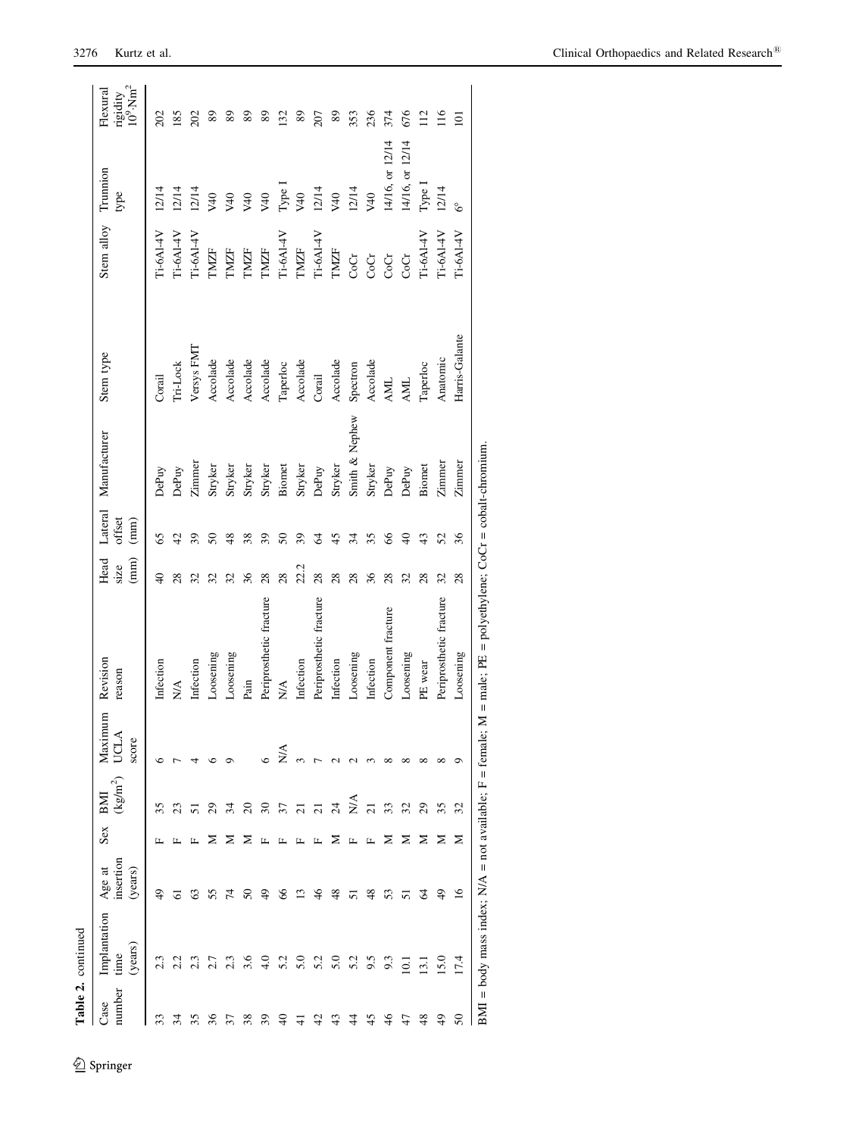|                | Table 2. continued                                           |                               |     |                             |                          |                                                            |                                |                                     |                |                |             |                 |                                                 |
|----------------|--------------------------------------------------------------|-------------------------------|-----|-----------------------------|--------------------------|------------------------------------------------------------|--------------------------------|-------------------------------------|----------------|----------------|-------------|-----------------|-------------------------------------------------|
| number<br>Case | Implantation<br>(years)<br>time                              | insertion<br>Age at<br>years) | Sex | (kg/m <sup>2</sup> )<br>BMI | Maximum<br>UCLA<br>score | Revision<br>reason                                         | Head<br>$\binom{m}{n}$<br>size | Lateral<br>offset<br>$\binom{m}{n}$ | Manufacturer   | Stem type      | Stem alloy  | Trumion<br>type | rigidity<br>$10^9 \cdot \text{Nm}^2$<br>Flexura |
|                | 2.3                                                          | ą                             |     |                             |                          | Infection                                                  | $\Theta$                       | 3                                   | DePuy          | Corail         | Ti-6Al-4V   | 12/14           | 202                                             |
| 34             |                                                              | ಠ                             |     |                             |                          | N/A                                                        | 28                             | 42                                  | DePuy          | Tri-Lock       | $Ti-6AI-4V$ | 12/14           | 185                                             |
|                | 2.3                                                          | 63                            |     |                             |                          | Infection                                                  | $\mathfrak{L}$                 | 39                                  | Zimmer         | Versys FMT     | Ti-6Al-4V   | 12/14           | 202                                             |
| 36             | 2.7                                                          | 55                            |     | 29                          |                          | Loosening                                                  | 52                             | $\overline{50}$                     | Stryker        | Accolade       | TMZF        | V40             | 89                                              |
|                |                                                              | 74                            |     | 34                          |                          | Loosening                                                  | 32                             | $\frac{8}{3}$                       | Stryker        | Accolade       | <b>IMZF</b> | $\rm V40$       | 89                                              |
| 38             |                                                              | $\mathcal{S}^{\bullet}$       |     | $\overline{c}$              |                          | Pain                                                       | 36                             | 38                                  | Stryker        | Accolade       | <b>IMZF</b> | $\rm V40$       | 89                                              |
|                |                                                              | $^{49}$                       |     |                             |                          | Periprosthetic fracture                                    | 28                             | 39                                  | Stryker        | Accolade       | TMZF        | V40             | 89                                              |
|                | 5.2                                                          | 8                             |     | 37                          |                          | N/A                                                        | 28                             | ິຣ                                  | <b>Bionet</b>  | Taperloc       | Ti-6Al-4V   | Type:           | 132                                             |
|                | 5.0                                                          |                               |     |                             |                          | Infection                                                  | 22.2                           | 39                                  | Stryker        | Accolade       | TMZF        | V40             | 89                                              |
|                | 5.2                                                          | 46                            |     |                             |                          | Periprosthetic fracture                                    | 28                             | 2                                   | DePuy          | Corail         | Ti-6Al-4V   | 12/14           | 207                                             |
|                | 5.0                                                          | $\frac{8}{3}$                 |     | 24                          |                          | Infection                                                  | $^{28}$                        | 45                                  | Stryker        | Accolade       | TMZF        | V40             | 89                                              |
|                | 5.2                                                          |                               |     | λX<br>Σ                     |                          | Loosening                                                  | 28                             | 34                                  | Smith & Nephew | Spectron       | CoCr        | 12/14           | 353                                             |
|                | 9.5                                                          | $\frac{8}{4}$                 |     |                             |                          | Infection                                                  | 36                             | 35                                  | Stryker        | Accolade       | CoCr        | V40             | 236                                             |
|                | 9.3                                                          | 53                            |     | 33                          |                          | Component fracture                                         | 28                             | 8                                   | DePuy          | <b>AML</b>     | CoCr        | 14/16, or 12/14 | 374                                             |
|                | $\Xi$                                                        |                               |     | 32                          |                          | Loosening                                                  | $\mathfrak{L}$                 | ₽                                   | DePuy          | AML.           | CoCr        | 14/16, or 12/14 | 676                                             |
|                | $\overline{13.1}$                                            | 2                             |     | 29                          |                          | PE wear                                                    | 28                             | 43                                  | Biomet         | Taperloc       | Ti-6A1-4V   | ${\rm Type\ 1}$ | 112                                             |
| $^{49}$        | 15.0                                                         | $\frac{9}{4}$                 |     | 35                          |                          | Periprosthetic fracture                                    | 32                             | 52                                  | Zimmer         | Anatomic       | Ti-6Al-4V   | 12/14           | 116                                             |
| $50\,$         | 17.4                                                         | ٩                             |     | 32                          |                          | Loosening                                                  | 28                             | 36                                  | Zimmer         | Harris-Galante | Ti-6Al-4V   | ိ               | $\overline{5}$                                  |
|                | BMI = body mass index; $N/A$ = not available; $F = female$ ; |                               |     |                             |                          | $M =$ male; $PE =$ polyethylene; $CoCr =$ cobalt-chromium. |                                |                                     |                |                |             |                 |                                                 |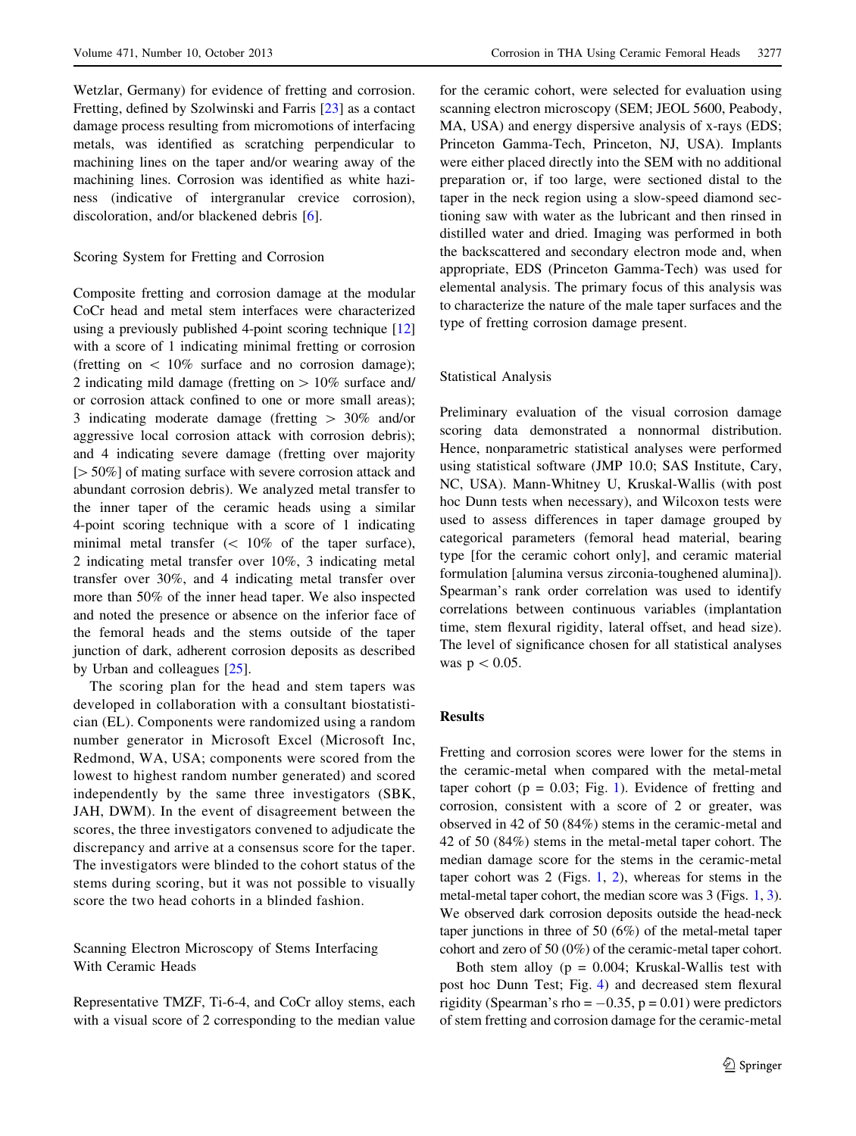Wetzlar, Germany) for evidence of fretting and corrosion. Fretting, defined by Szolwinski and Farris [\[23](#page-12-0)] as a contact damage process resulting from micromotions of interfacing metals, was identified as scratching perpendicular to machining lines on the taper and/or wearing away of the machining lines. Corrosion was identified as white haziness (indicative of intergranular crevice corrosion), discoloration, and/or blackened debris [[6\]](#page-11-0).

# Scoring System for Fretting and Corrosion

Composite fretting and corrosion damage at the modular CoCr head and metal stem interfaces were characterized using a previously published 4-point scoring technique [\[12\]](#page-12-0) with a score of 1 indicating minimal fretting or corrosion (fretting on  $\lt$  10% surface and no corrosion damage); 2 indicating mild damage (fretting on  $>10\%$  surface and/ or corrosion attack confined to one or more small areas); 3 indicating moderate damage (fretting  $> 30\%$  and/or aggressive local corrosion attack with corrosion debris); and 4 indicating severe damage (fretting over majority  $[50\%]$  of mating surface with severe corrosion attack and abundant corrosion debris). We analyzed metal transfer to the inner taper of the ceramic heads using a similar 4-point scoring technique with a score of 1 indicating minimal metal transfer  $\ll 10\%$  of the taper surface), 2 indicating metal transfer over 10%, 3 indicating metal transfer over 30%, and 4 indicating metal transfer over more than 50% of the inner head taper. We also inspected and noted the presence or absence on the inferior face of the femoral heads and the stems outside of the taper junction of dark, adherent corrosion deposits as described by Urban and colleagues [\[25](#page-12-0)].

The scoring plan for the head and stem tapers was developed in collaboration with a consultant biostatistician (EL). Components were randomized using a random number generator in Microsoft Excel (Microsoft Inc, Redmond, WA, USA; components were scored from the lowest to highest random number generated) and scored independently by the same three investigators (SBK, JAH, DWM). In the event of disagreement between the scores, the three investigators convened to adjudicate the discrepancy and arrive at a consensus score for the taper. The investigators were blinded to the cohort status of the stems during scoring, but it was not possible to visually score the two head cohorts in a blinded fashion.

Scanning Electron Microscopy of Stems Interfacing With Ceramic Heads

Representative TMZF, Ti-6-4, and CoCr alloy stems, each with a visual score of 2 corresponding to the median value for the ceramic cohort, were selected for evaluation using scanning electron microscopy (SEM; JEOL 5600, Peabody, MA, USA) and energy dispersive analysis of x-rays (EDS; Princeton Gamma-Tech, Princeton, NJ, USA). Implants were either placed directly into the SEM with no additional preparation or, if too large, were sectioned distal to the taper in the neck region using a slow-speed diamond sectioning saw with water as the lubricant and then rinsed in distilled water and dried. Imaging was performed in both the backscattered and secondary electron mode and, when appropriate, EDS (Princeton Gamma-Tech) was used for elemental analysis. The primary focus of this analysis was to characterize the nature of the male taper surfaces and the type of fretting corrosion damage present.

## Statistical Analysis

Preliminary evaluation of the visual corrosion damage scoring data demonstrated a nonnormal distribution. Hence, nonparametric statistical analyses were performed using statistical software (JMP 10.0; SAS Institute, Cary, NC, USA). Mann-Whitney U, Kruskal-Wallis (with post hoc Dunn tests when necessary), and Wilcoxon tests were used to assess differences in taper damage grouped by categorical parameters (femoral head material, bearing type [for the ceramic cohort only], and ceramic material formulation [alumina versus zirconia-toughened alumina]). Spearman's rank order correlation was used to identify correlations between continuous variables (implantation time, stem flexural rigidity, lateral offset, and head size). The level of significance chosen for all statistical analyses was  $p < 0.05$ .

# Results

Fretting and corrosion scores were lower for the stems in the ceramic-metal when compared with the metal-metal taper cohort ( $p = 0.03$ ; Fig. [1\)](#page-8-0). Evidence of fretting and corrosion, consistent with a score of 2 or greater, was observed in 42 of 50 (84%) stems in the ceramic-metal and 42 of 50 (84%) stems in the metal-metal taper cohort. The median damage score for the stems in the ceramic-metal taper cohort was [2](#page-8-0) (Figs.  $1, 2$  $1, 2$ ), whereas for stems in the metal-metal taper cohort, the median score was 3 (Figs. [1](#page-8-0), [3\)](#page-8-0). We observed dark corrosion deposits outside the head-neck taper junctions in three of 50 (6%) of the metal-metal taper cohort and zero of 50 (0%) of the ceramic-metal taper cohort.

Both stem alloy ( $p = 0.004$ ; Kruskal-Wallis test with post hoc Dunn Test; Fig. [4](#page-8-0)) and decreased stem flexural rigidity (Spearman's rho =  $-0.35$ , p = 0.01) were predictors of stem fretting and corrosion damage for the ceramic-metal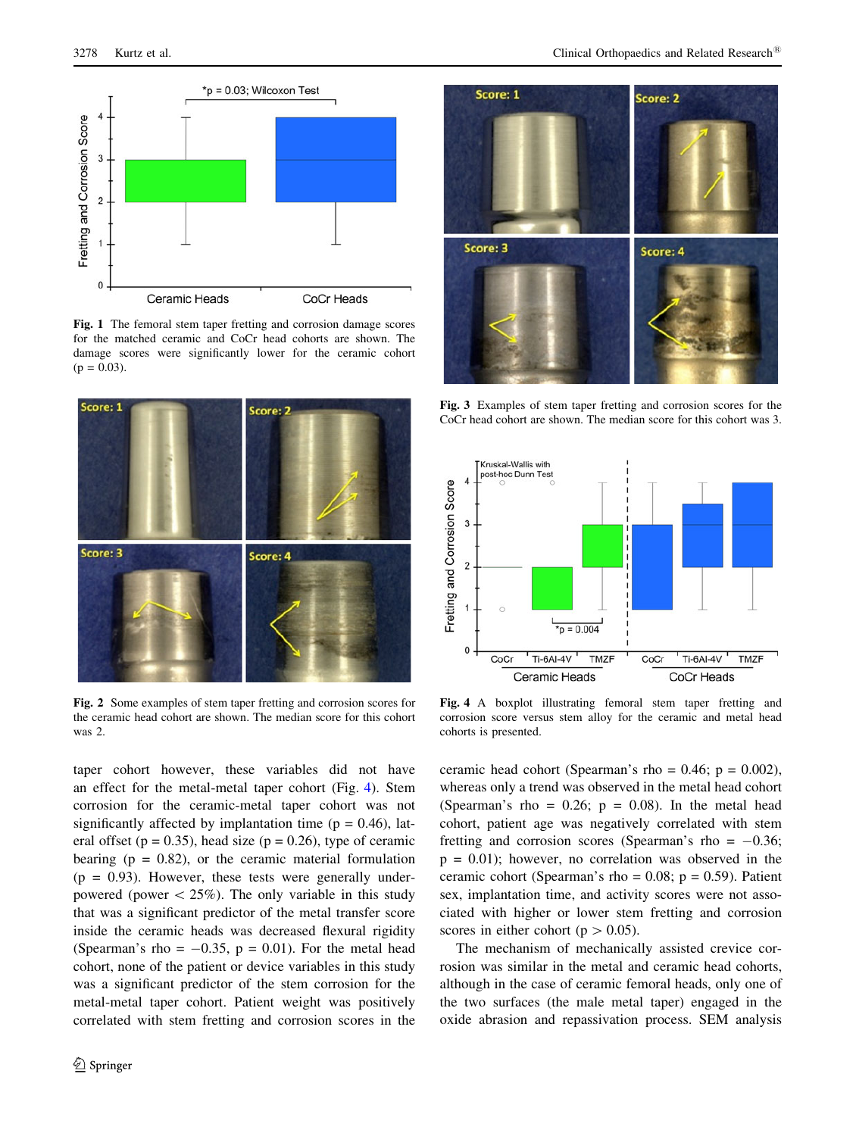<span id="page-8-0"></span>

Fig. 1 The femoral stem taper fretting and corrosion damage scores for the matched ceramic and CoCr head cohorts are shown. The damage scores were significantly lower for the ceramic cohort  $(p = 0.03)$ .



Fig. 2 Some examples of stem taper fretting and corrosion scores for the ceramic head cohort are shown. The median score for this cohort was 2.

taper cohort however, these variables did not have an effect for the metal-metal taper cohort (Fig. 4). Stem corrosion for the ceramic-metal taper cohort was not significantly affected by implantation time ( $p = 0.46$ ), lateral offset ( $p = 0.35$ ), head size ( $p = 0.26$ ), type of ceramic bearing  $(p = 0.82)$ , or the ceramic material formulation  $(p = 0.93)$ . However, these tests were generally underpowered (power  $\lt 25\%$ ). The only variable in this study that was a significant predictor of the metal transfer score inside the ceramic heads was decreased flexural rigidity (Spearman's rho =  $-0.35$ , p = 0.01). For the metal head cohort, none of the patient or device variables in this study was a significant predictor of the stem corrosion for the metal-metal taper cohort. Patient weight was positively correlated with stem fretting and corrosion scores in the



Fig. 3 Examples of stem taper fretting and corrosion scores for the CoCr head cohort are shown. The median score for this cohort was 3.



Fig. 4 A boxplot illustrating femoral stem taper fretting and corrosion score versus stem alloy for the ceramic and metal head cohorts is presented.

ceramic head cohort (Spearman's rho =  $0.46$ ; p =  $0.002$ ), whereas only a trend was observed in the metal head cohort (Spearman's rho =  $0.26$ ;  $p = 0.08$ ). In the metal head cohort, patient age was negatively correlated with stem fretting and corrosion scores (Spearman's rho =  $-0.36$ ;  $p = 0.01$ ; however, no correlation was observed in the ceramic cohort (Spearman's rho =  $0.08$ ; p =  $0.59$ ). Patient sex, implantation time, and activity scores were not associated with higher or lower stem fretting and corrosion scores in either cohort ( $p > 0.05$ ).

The mechanism of mechanically assisted crevice corrosion was similar in the metal and ceramic head cohorts, although in the case of ceramic femoral heads, only one of the two surfaces (the male metal taper) engaged in the oxide abrasion and repassivation process. SEM analysis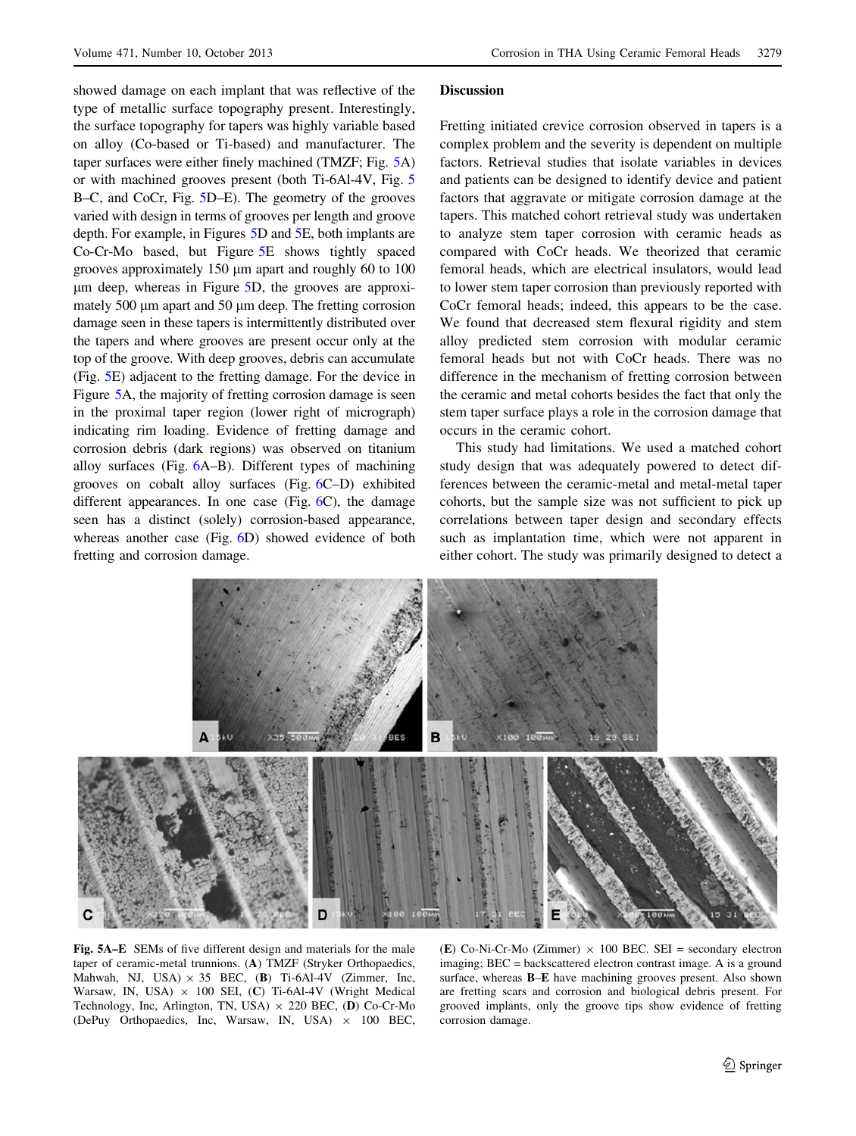showed damage on each implant that was reflective of the type of metallic surface topography present. Interestingly, the surface topography for tapers was highly variable based on alloy (Co-based or Ti-based) and manufacturer. The taper surfaces were either finely machined (TMZF; Fig. 5A) or with machined grooves present (both Ti-6Al-4V, Fig. 5 B–C, and CoCr, Fig. 5D–E). The geometry of the grooves varied with design in terms of grooves per length and groove depth. For example, in Figures 5D and 5E, both implants are Co-Cr-Mo based, but Figure 5E shows tightly spaced grooves approximately 150  $\mu$ m apart and roughly 60 to 100  $\mu$ m deep, whereas in Figure 5D, the grooves are approximately  $500 \mu m$  apart and  $50 \mu m$  deep. The fretting corrosion damage seen in these tapers is intermittently distributed over the tapers and where grooves are present occur only at the top of the groove. With deep grooves, debris can accumulate (Fig. 5E) adjacent to the fretting damage. For the device in Figure 5A, the majority of fretting corrosion damage is seen in the proximal taper region (lower right of micrograph) indicating rim loading. Evidence of fretting damage and corrosion debris (dark regions) was observed on titanium alloy surfaces (Fig. [6](#page-10-0)A–B). Different types of machining grooves on cobalt alloy surfaces (Fig. [6C](#page-10-0)–D) exhibited different appearances. In one case (Fig.  $6C$ ), the damage seen has a distinct (solely) corrosion-based appearance, whereas another case (Fig. [6](#page-10-0)D) showed evidence of both fretting and corrosion damage.

#### **Discussion**

Fretting initiated crevice corrosion observed in tapers is a complex problem and the severity is dependent on multiple factors. Retrieval studies that isolate variables in devices and patients can be designed to identify device and patient factors that aggravate or mitigate corrosion damage at the tapers. This matched cohort retrieval study was undertaken to analyze stem taper corrosion with ceramic heads as compared with CoCr heads. We theorized that ceramic femoral heads, which are electrical insulators, would lead to lower stem taper corrosion than previously reported with CoCr femoral heads; indeed, this appears to be the case. We found that decreased stem flexural rigidity and stem alloy predicted stem corrosion with modular ceramic femoral heads but not with CoCr heads. There was no difference in the mechanism of fretting corrosion between the ceramic and metal cohorts besides the fact that only the stem taper surface plays a role in the corrosion damage that occurs in the ceramic cohort.

This study had limitations. We used a matched cohort study design that was adequately powered to detect differences between the ceramic-metal and metal-metal taper cohorts, but the sample size was not sufficient to pick up correlations between taper design and secondary effects such as implantation time, which were not apparent in either cohort. The study was primarily designed to detect a



Fig. 5A–E SEMs of five different design and materials for the male taper of ceramic-metal trunnions. (A) TMZF (Stryker Orthopaedics, Mahwah, NJ, USA)  $\times$  35 BEC, (B) Ti-6Al-4V (Zimmer, Inc, Warsaw, IN, USA)  $\times$  100 SEI, (C) Ti-6Al-4V (Wright Medical Technology, Inc, Arlington, TN, USA)  $\times$  220 BEC, (D) Co-Cr-Mo (DePuy Orthopaedics, Inc, Warsaw, IN, USA)  $\times$  100 BEC,

(E) Co-Ni-Cr-Mo (Zimmer)  $\times$  100 BEC. SEI = secondary electron imaging; BEC = backscattered electron contrast image. A is a ground surface, whereas B–E have machining grooves present. Also shown are fretting scars and corrosion and biological debris present. For grooved implants, only the groove tips show evidence of fretting corrosion damage.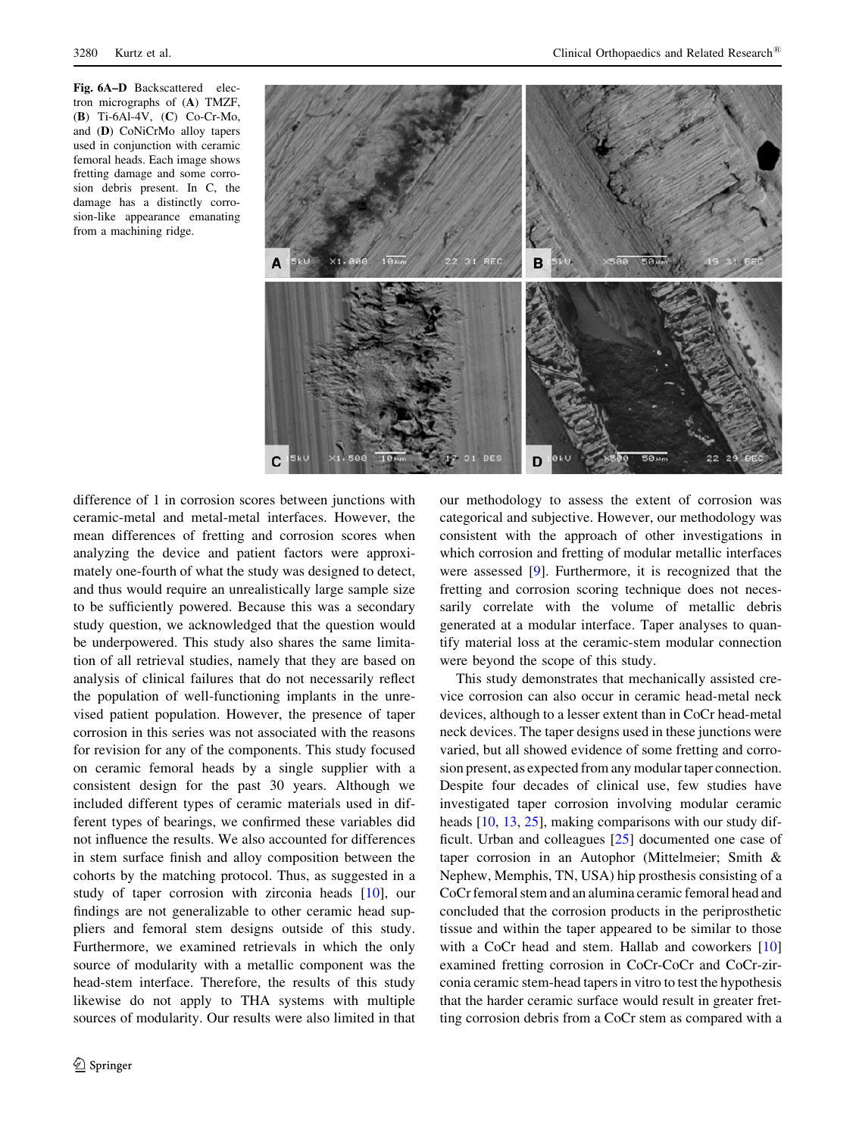<span id="page-10-0"></span>Fig. 6A–D Backscattered electron micrographs of (A) TMZF, (B) Ti-6Al-4V, (C) Co-Cr-Mo, and (D) CoNiCrMo alloy tapers used in conjunction with ceramic femoral heads. Each image shows fretting damage and some corrosion debris present. In C, the damage has a distinctly corrosion-like appearance emanating from a machining ridge.



difference of 1 in corrosion scores between junctions with ceramic-metal and metal-metal interfaces. However, the mean differences of fretting and corrosion scores when analyzing the device and patient factors were approximately one-fourth of what the study was designed to detect, and thus would require an unrealistically large sample size to be sufficiently powered. Because this was a secondary study question, we acknowledged that the question would be underpowered. This study also shares the same limitation of all retrieval studies, namely that they are based on analysis of clinical failures that do not necessarily reflect the population of well-functioning implants in the unrevised patient population. However, the presence of taper corrosion in this series was not associated with the reasons for revision for any of the components. This study focused on ceramic femoral heads by a single supplier with a consistent design for the past 30 years. Although we included different types of ceramic materials used in different types of bearings, we confirmed these variables did not influence the results. We also accounted for differences in stem surface finish and alloy composition between the cohorts by the matching protocol. Thus, as suggested in a study of taper corrosion with zirconia heads [\[10](#page-12-0)], our findings are not generalizable to other ceramic head suppliers and femoral stem designs outside of this study. Furthermore, we examined retrievals in which the only source of modularity with a metallic component was the head-stem interface. Therefore, the results of this study likewise do not apply to THA systems with multiple sources of modularity. Our results were also limited in that our methodology to assess the extent of corrosion was categorical and subjective. However, our methodology was consistent with the approach of other investigations in which corrosion and fretting of modular metallic interfaces were assessed [\[9](#page-12-0)]. Furthermore, it is recognized that the fretting and corrosion scoring technique does not necessarily correlate with the volume of metallic debris generated at a modular interface. Taper analyses to quantify material loss at the ceramic-stem modular connection were beyond the scope of this study.

This study demonstrates that mechanically assisted crevice corrosion can also occur in ceramic head-metal neck devices, although to a lesser extent than in CoCr head-metal neck devices. The taper designs used in these junctions were varied, but all showed evidence of some fretting and corrosion present, as expected from any modular taper connection. Despite four decades of clinical use, few studies have investigated taper corrosion involving modular ceramic heads [[10,](#page-12-0) [13,](#page-12-0) [25](#page-12-0)], making comparisons with our study difficult. Urban and colleagues [\[25](#page-12-0)] documented one case of taper corrosion in an Autophor (Mittelmeier; Smith & Nephew, Memphis, TN, USA) hip prosthesis consisting of a CoCr femoral stem and an alumina ceramic femoral head and concluded that the corrosion products in the periprosthetic tissue and within the taper appeared to be similar to those with a CoCr head and stem. Hallab and coworkers [[10\]](#page-12-0) examined fretting corrosion in CoCr-CoCr and CoCr-zirconia ceramic stem-head tapers in vitro to test the hypothesis that the harder ceramic surface would result in greater fretting corrosion debris from a CoCr stem as compared with a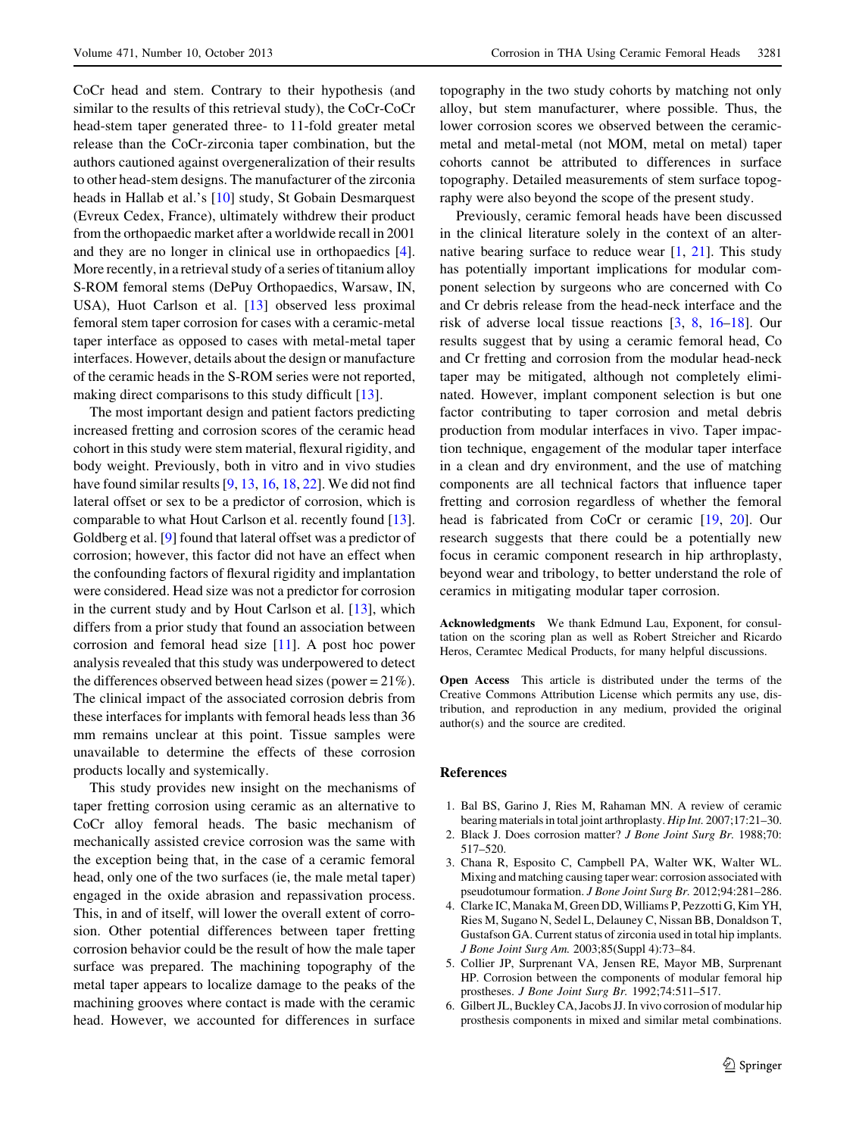<span id="page-11-0"></span>CoCr head and stem. Contrary to their hypothesis (and similar to the results of this retrieval study), the CoCr-CoCr head-stem taper generated three- to 11-fold greater metal release than the CoCr-zirconia taper combination, but the authors cautioned against overgeneralization of their results to other head-stem designs. The manufacturer of the zirconia heads in Hallab et al.'s [\[10](#page-12-0)] study, St Gobain Desmarquest (Evreux Cedex, France), ultimately withdrew their product from the orthopaedic market after a worldwide recall in 2001 and they are no longer in clinical use in orthopaedics [4]. More recently, in a retrieval study of a series of titanium alloy S-ROM femoral stems (DePuy Orthopaedics, Warsaw, IN, USA), Huot Carlson et al. [\[13](#page-12-0)] observed less proximal femoral stem taper corrosion for cases with a ceramic-metal taper interface as opposed to cases with metal-metal taper interfaces. However, details about the design or manufacture of the ceramic heads in the S-ROM series were not reported, making direct comparisons to this study difficult [[13\]](#page-12-0).

The most important design and patient factors predicting increased fretting and corrosion scores of the ceramic head cohort in this study were stem material, flexural rigidity, and body weight. Previously, both in vitro and in vivo studies have found similar results [\[9](#page-12-0), [13,](#page-12-0) [16,](#page-12-0) [18](#page-12-0), [22\]](#page-12-0). We did not find lateral offset or sex to be a predictor of corrosion, which is comparable to what Hout Carlson et al. recently found [\[13](#page-12-0)]. Goldberg et al. [[9\]](#page-12-0) found that lateral offset was a predictor of corrosion; however, this factor did not have an effect when the confounding factors of flexural rigidity and implantation were considered. Head size was not a predictor for corrosion in the current study and by Hout Carlson et al. [[13\]](#page-12-0), which differs from a prior study that found an association between corrosion and femoral head size [\[11](#page-12-0)]. A post hoc power analysis revealed that this study was underpowered to detect the differences observed between head sizes (power =  $21\%$ ). The clinical impact of the associated corrosion debris from these interfaces for implants with femoral heads less than 36 mm remains unclear at this point. Tissue samples were unavailable to determine the effects of these corrosion products locally and systemically.

This study provides new insight on the mechanisms of taper fretting corrosion using ceramic as an alternative to CoCr alloy femoral heads. The basic mechanism of mechanically assisted crevice corrosion was the same with the exception being that, in the case of a ceramic femoral head, only one of the two surfaces (ie, the male metal taper) engaged in the oxide abrasion and repassivation process. This, in and of itself, will lower the overall extent of corrosion. Other potential differences between taper fretting corrosion behavior could be the result of how the male taper surface was prepared. The machining topography of the metal taper appears to localize damage to the peaks of the machining grooves where contact is made with the ceramic head. However, we accounted for differences in surface topography in the two study cohorts by matching not only alloy, but stem manufacturer, where possible. Thus, the lower corrosion scores we observed between the ceramicmetal and metal-metal (not MOM, metal on metal) taper cohorts cannot be attributed to differences in surface topography. Detailed measurements of stem surface topography were also beyond the scope of the present study.

Previously, ceramic femoral heads have been discussed in the clinical literature solely in the context of an alternative bearing surface to reduce wear [1, [21](#page-12-0)]. This study has potentially important implications for modular component selection by surgeons who are concerned with Co and Cr debris release from the head-neck interface and the risk of adverse local tissue reactions [3, [8](#page-12-0), [16–18](#page-12-0)]. Our results suggest that by using a ceramic femoral head, Co and Cr fretting and corrosion from the modular head-neck taper may be mitigated, although not completely eliminated. However, implant component selection is but one factor contributing to taper corrosion and metal debris production from modular interfaces in vivo. Taper impaction technique, engagement of the modular taper interface in a clean and dry environment, and the use of matching components are all technical factors that influence taper fretting and corrosion regardless of whether the femoral head is fabricated from CoCr or ceramic [[19,](#page-12-0) [20](#page-12-0)]. Our research suggests that there could be a potentially new focus in ceramic component research in hip arthroplasty, beyond wear and tribology, to better understand the role of ceramics in mitigating modular taper corrosion.

Acknowledgments We thank Edmund Lau, Exponent, for consultation on the scoring plan as well as Robert Streicher and Ricardo Heros, Ceramtec Medical Products, for many helpful discussions.

Open Access This article is distributed under the terms of the Creative Commons Attribution License which permits any use, distribution, and reproduction in any medium, provided the original author(s) and the source are credited.

## References

- 1. Bal BS, Garino J, Ries M, Rahaman MN. A review of ceramic bearing materials in total joint arthroplasty. Hip Int. 2007;17:21–30.
- 2. Black J. Does corrosion matter? J Bone Joint Surg Br. 1988;70: 517–520.
- 3. Chana R, Esposito C, Campbell PA, Walter WK, Walter WL. Mixing and matching causing taper wear: corrosion associated with pseudotumour formation. J Bone Joint Surg Br. 2012;94:281–286.
- 4. Clarke IC, Manaka M, Green DD, Williams P, Pezzotti G, Kim YH, Ries M, Sugano N, Sedel L, Delauney C, Nissan BB, Donaldson T, Gustafson GA. Current status of zirconia used in total hip implants. J Bone Joint Surg Am. 2003;85(Suppl 4):73–84.
- 5. Collier JP, Surprenant VA, Jensen RE, Mayor MB, Surprenant HP. Corrosion between the components of modular femoral hip prostheses. J Bone Joint Surg Br. 1992;74:511–517.
- 6. Gilbert JL, Buckley CA, Jacobs JJ. In vivo corrosion of modular hip prosthesis components in mixed and similar metal combinations.